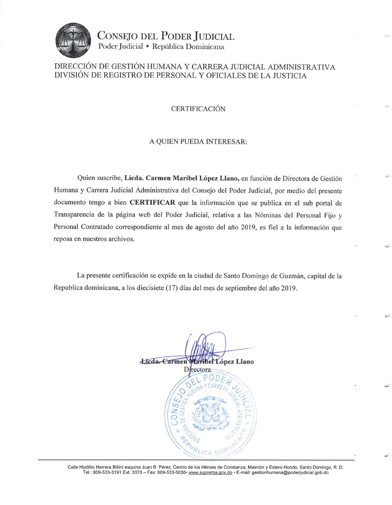

CONSEJO DEL PODER JUDICIAL Poder Judicial • República Dominicana

## DIRECCIÓN DE GESTIÓN HUMANA Y CARRERA JUDICIAL ADMINISTRATIVA DIVISIÓN DE REGISTRO DE PERSONAL Y OFICIALES DE LA JUSTICIA

#### **CERTIFICACIÓN**

#### A QUIEN PUEDA INTERESAR:

Quien suscribe, Licda. Carmen Maribel López Llano, en función de Directora de Gestión Humana y Carrera Judicial Administrativa del Consejo del Poder Judicial, por medio del presente documento tengo a bien CERTIFICAR que la información que se publica en el sub portal de Transparencia de la página web del Poder Judicial, relativa a las Nóminas del Personal Fijo y Personal Contratado correspondiente al mes de agosto del año 2019, es fiel a la información que reposa en nuestros archivos.

La presente certificación se expide en la ciudad de Santo Domingo de Guzmán, capital de la Republica dominicana, a los diecisiete (17) días del mes de septiembre del año 2019.

Licda. Carmen ribel López Llano Directora

Calle Hipólito Herrera Billini esquina Juan B. Pérez, Centro de los Héroes de Constanza, Maimón y Estero Hondo, Santo Domingo, R. D. Tel.: 809-533-3191 Ext. 3370 - Fax: 809-533-5036• www.suprema.gov.do • E-mail: gestionhumana@poderjudicial.gob.do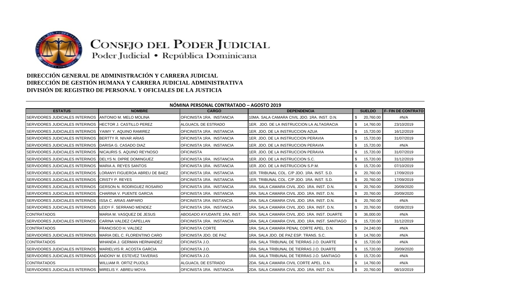

# CONSEJO DEL PODER JUDICIAL

Poder Judicial · República Dominicana

## **DIRECCIÓN GENERAL DE ADMINISTRACIÓN Y CARRERA JUDICIAL DIRECCIÓN DE GESTIÓN HUMANA Y CARRERA JUDICIAL ADMINISTRATIVA DIVISIÓN DE REGISTRO DE PERSONAL Y OFICIALES DE LA JUSTICIA**

| NÓMINA PERSONAL CONTRATADO - AGOSTO 2019 |                                     |                             |                                                 |                  |                           |  |
|------------------------------------------|-------------------------------------|-----------------------------|-------------------------------------------------|------------------|---------------------------|--|
| <b>ESTATUS</b>                           | <b>NOMBRE</b>                       | <b>CARGO</b>                | <b>DEPENDENCIA</b>                              | <b>SUELDO</b>    | <b>F- FIN DE CONTRATO</b> |  |
| SERVIDORES JUDICIALES INTERINOS          | <b>ANTONIO M. MELO MOLINA</b>       | OFICINISTA 1RA. INSTANCIA   | 10MA, SALA CAMARA CIVIL JDO, 1RA, INST, D.N.    | 20,760.00        | $\#N/A$                   |  |
| SERVIDORES JUDICIALES INTERINOS          | <b>IHECTOR J. CASTILLO PEREZ</b>    | ALGUACIL DE ESTRADO         | 1ER. JDO. DE LA INSTRUCCION LA ALTAGRACIA       | \$.<br>14,760.00 | 23/10/2019                |  |
| SERVIDORES JUDICIALES INTERINOS          | YAIMY Y. AQUINO RAMIREZ             | OFICINISTA 1RA. INSTANCIA   | 1ER. JDO. DE LA INSTRUCCION AZUA                | \$<br>15,720.00  | 16/12/2019                |  |
| SERVIDORES JUDICIALES INTERINOS          | BERTTY R. NIVAR ARIAS               | OFICINISTA 1RA. INSTANCIA   | 1ER. JDO. DE LA INSTRUCCION PERAVIA             | 15,720.00        | 31/07/2019                |  |
| SERVIDORES JUDICIALES INTERINOS          | <b>IDARISA G. CASADO DIAZ</b>       | OFICINISTA 1RA. INSTANCIA   | 1ER. JDO. DE LA INSTRUCCION PERAVIA             | 15,720.00        | $\#N/A$                   |  |
| SERVIDORES JUDICIALES INTERINOS          | INICAURIS S. AQUINO REYNOSO         | <b>OFICINISTA</b>           | 1ER. JDO. DE LA INSTRUCCION PERAVIA             | 15,720.00        | 31/07/2019                |  |
| SERVIDORES JUDICIALES INTERINOS          | <b>IDELYS N. DIPRE DOMINGUEZ</b>    | OFICINISTA 1RA. INSTANCIA   | 1ER. JDO. DE LA INSTRUCCION S.C.                | 15,720.00        | 31/12/2019                |  |
| SERVIDORES JUDICIALES INTERINOS          | <b>MARIA A. REYES SANTOS</b>        | OFICINISTA 1RA. INSTANCIA   | 1ER. JDO. DE LA INSTRUCCION S.P.M.              | 15,720.00        | 07/10/2019                |  |
| SERVIDORES JUDICIALES INTERINOS          | LORANYI FIGUEROA ABREU DE BAEZ      | OFICINISTA 1RA. INSTANCIA   | 1ER. TRIBUNAL COL. C/P JDO. 1RA. INST. S.D.     | 20,760.00        | 17/09/2019                |  |
| SERVIDORES JUDICIALES INTERINOS          | <b>CRISTY P. REYES</b>              | OFICINISTA 1RA. INSTANCIA   | 1ER. TRIBUNAL COL. C/P JDO. 1RA. INST. S.D.     | 20,760.00        | 17/09/2019                |  |
| SERVIDORES JUDICIALES INTERINOS          | <b>IGERSON N. RODRIGUEZ ROSARIO</b> | OFICINISTA 1RA. INSTANCIA   | 1RA, SALA CAMARA CIVIL JDO, 1RA, INST, D.N.     | 20,760.00        | 20/09/2020                |  |
| SERVIDORES JUDICIALES INTERINOS          | ICHARINA V. PUENTE GARCIA           | OFICINISTA 1RA. INSTANCIA   | 1RA, SALA CAMARA CIVIL JDO, 1RA, INST, D.N.     | 20.760.00        | 20/09/2020                |  |
| SERVIDORES JUDICIALES INTERINOS          | <b>ISSA C. ARIAS AMPARO</b>         | OFICINISTA 1RA. INSTANCIA   | 1RA, SALA CAMARA CIVIL JDO, 1RA, INST, D.N.     | 20,760.00        | #N/A                      |  |
| SERVIDORES JUDICIALES INTERINOS          | LEIDY F. SERRANO MENDEZ             | OFICINISTA 1RA. INSTANCIA   | 1RA, SALA CAMARA CIVIL JDO, 1RA, INST, D.N.     | 20,760.00        | 03/08/2019                |  |
| <b>CONTRATADOS</b>                       | MARIA M. VASQUEZ DE JESUS           | ABOGADO AYUDANTE 1RA. INST. | 1RA, SALA CAMARA CIVIL JDO, 1RA, INST, DUARTE   | 36,000.00        | #N/A                      |  |
| SERVIDORES JUDICIALES INTERINOS          | <b>CARINA VALDEZ CAPELLAN</b>       | OFICINISTA 1RA. INSTANCIA   | 1RA, SALA CAMARA CIVIL JDO, 1RA, INST, SANTIAGO | 15,720.00<br>\$. | 31/12/2019                |  |
| <b>CONTRATADOS</b>                       | <b>FRANCISCO H. VALDEZ</b>          | OFICINISTA CORTE            | 1RA. SALA CAMARA PENAL CORTE APEL. D.N.         | 24,240.00        | #N/A                      |  |
| SERVIDORES JUDICIALES INTERINOS          | MARIA DEL C. FLORENTINO CARO        | OFICINISTA JDO. DE PAZ      | 1RA, SALA JDO, DE PAZ ESP, TRANS, S.C.          | 14,760.00<br>\$. | #N/A                      |  |
| CONTRATADOS                              | WHANDA J. GERMAN HERNANDEZ          | OFICINISTA J.O.             | 1RA. SALA TRIBUNAL DE TIERRAS J.O. DUARTE       | 15,720.00<br>-S  | #N/A                      |  |
| SERVIDORES JUDICIALES INTERINOS          | <b>MARIELVIS R. ACOSTA GARCIA</b>   | OFICINISTA J.O.             | 1RA, SALA TRIBUNAL DE TIERRAS J.O. DUARTE       | 15,720.00<br>S   | 20/09/2020                |  |
| SERVIDORES JUDICIALES INTERINOS          | <b>ANDONY M. ESTEVEZ TAVERAS</b>    | OFICINISTA J.O.             | 1RA, SALA TRIBUNAL DE TIERRAS J.O. SANTIAGO     | 15,720.00<br>\$. | #N/A                      |  |
| <b>CONTRATADOS</b>                       | <b>WILLIAM R. ORTIZ PUJOLS</b>      | ALGUACIL DE ESTRADO         | 2DA, SALA CAMARA CIVIL CORTE APEL, D.N.         | 14,760.00<br>-S  | #N/A                      |  |
| SERVIDORES JUDICIALES INTERINOS          | MIRELIS Y. ABREU MOYA               | OFICINISTA 1RA. INSTANCIA   | 2DA. SALA CAMARA CIVIL JDO. 1RA. INST. D.N.     | 20,760.00<br>\$  | 08/10/2019                |  |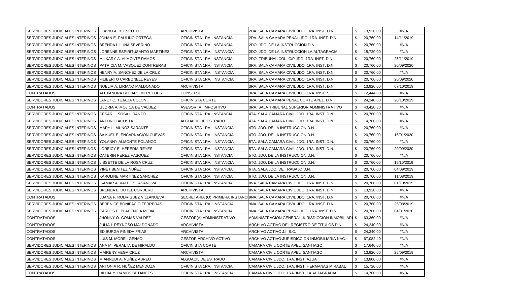| SERVIDORES JUDICIALES INTERINOS FLAVIO ALB. ESCOTO |                                  | ARCHIVISTA                   | 2DA. SALA CAMARA CIVIL JDO. 1RA. INST. D.N.                                 | \$  | 13,920.00 | #N/A       |
|----------------------------------------------------|----------------------------------|------------------------------|-----------------------------------------------------------------------------|-----|-----------|------------|
| SERVIDORES JUDICIALES INTERINOS                    | JOHAN E. PAULINO ORTEGA          | OFICINISTA 1RA. INSTANCIA    | 2DA. SALA CAMARA PENAL JDO. 1RA. INST. D.N.                                 | \$  | 20,760.00 | 14/11/2019 |
| SERVIDORES JUDICIALES INTERINOS                    | BRENDA I. LUNA SEVERINO          | OFICINISTA 1RA. INSTANCIA    | 2DO. JDO. DE LA INSTRUCCION D.N.                                            | \$  | 20,760.00 | #N/A       |
| SERVIDORES JUDICIALES INTERINOS                    | LORENNE ESPIRITUSANTO MARTINEZ   | OFICINISTA 1RA. INSTANCIA    | 2DO. JDO. DE LA INSTRUCCION LA ALTAGRACIA                                   | \$  | 15,720.00 | #N/A       |
| SERVIDORES JUDICIALES INTERINOS                    | MILKARY A. ALMONTE RAMOS         | OFICINISTA 1RA. INSTANCIA    | 2DO. TRIBUNAL COL. C/P JDO. 1RA. INST. D.N.                                 | \$. | 20,760.00 | 25/11/2019 |
| SERVIDORES JUDICIALES INTERINOS                    | PATRICIA M. VASQUEZ CONTRERAS    | OFICINISTA 1RA. INSTANCIA    | 3RA. SALA CAMARA CIVIL JDO. 1RA. INST. D.N.                                 | \$  | 20,760.00 | 20/09/2020 |
| SERVIDORES JUDICIALES INTERINOS                    | HENRY A. SANCHEZ DE LA CRUZ      | OFICINISTA 1RA. INSTANCIA    | 3RA. SALA CAMARA CIVIL JDO. 1RA. INST. D.N.                                 | \$  | 20,760.00 | #N/A       |
| SERVIDORES JUDICIALES INTERINOS                    | <b>FILIBERTO CARBONELL REYES</b> | OFICINISTA 1RA. INSTANCIA    | 3RA. SALA CAMARA CIVIL JDO. 1RA. INST. D.N.                                 | \$  | 20,760.00 | 20/09/2020 |
| SERVIDORES JUDICIALES INTERINOS                    | NOELIA A. LIRIANO MALDONADO      | ARCHIVISTA                   | 3RA. SALA CAMARA CIVIL JDO. 1RA. INST. D.N.                                 | S   | 13,920.00 | 07/10/2019 |
| <b>CONTRATADOS</b>                                 | ALEXANDRA BELIARD MERCEDES       | CONSERJE                     | 3RA. SALA CAMARA CIVIL JDO. 1RA. INST. S.D.                                 | \$  | 12,444.00 | #N/A       |
| SERVIDORES JUDICIALES INTERINOS                    | JANET C. TEJADA COLON            | OFICINISTA CORTE             | 3RA. SALA CAMARA PENAL CORTE APEL. D.N.                                     | \$  | 24,240.00 | 20/10/2019 |
| CONTRATADOS                                        | GLORIA A. MOJICA DE VALDEZ       | ASESOR (A) IMPOSITIVO        | 3RA. SALA TRIBUNAL SUPERIOR ADMINISTRATIVO                                  | \$  | 43,420.80 | #N/A       |
| SERVIDORES JUDICIALES INTERINOS                    | CESAR L. SOSA LIRANZO            | OFICINISTA 1RA. INSTANCIA    | 4TA. SALA CAMARA CIVIL JDO. 1RA. INST. D.N.                                 | \$  | 20,760.00 | #N/A       |
| SERVIDORES JUDICIALES INTERINOS                    | ANTONIO ACOSTA                   | ALGUACIL DE ESTRADO          | 4TA. SALA CAMARA CIVIL JDO. 1RA. INST. D.N.                                 | \$. | 14,760.00 | #N/A       |
| SERVIDORES JUDICIALES INTERINOS                    | MARY L. MUÑOZ SARANTE            | OFICINISTA 1RA. INSTANCIA    | 4TO. JDO. DE LA INSTRUCCION D.N.                                            | \$  | 20,760.00 | #N/A       |
| SERVIDORES JUDICIALES INTERINOS                    | SAMUEL E. ENCARNACION CUEVAS     | OFICINISTA 1RA. INSTANCIA    | 4TO. JDO. DE LA INSTRUCCION D.N.                                            | \$  | 20,760.00 | 15/01/2020 |
| SERVIDORES JUDICIALES INTERINOS                    | YOLANNY ALMONTE POLANCO          | OFICINISTA 1RA. INSTANCIA    | 5TA. SALA CAMARA CIVIL JDO. 1RA. INST. D.N.                                 | \$. | 20,760.00 | #N/A       |
| SERVIDORES JUDICIALES INTERINOS                    | LOREICY E. HEREDIA REYES         | OFICINISTA 1RA. INSTANCIA    | 5TA. SALA CAMARA CIVIL JDO. 1RA. INST. D.N.                                 | \$  | 20,760.00 | 20/09/2020 |
| SERVIDORES JUDICIALES INTERINOS                    | <b>CATERIN PEREZ VASQUEZ</b>     | OFICINISTA 1RA. INSTANCIA    | 5TO. JDO. DE LA INSTRUCCION D.N.                                            | \$  | 20,760.00 | #N/A       |
| SERVIDORES JUDICIALES INTERINOS                    | LISSETTE DE LA ROSA CRUZ         | OFICINISTA 1RA. INSTANCIA    | 5TO. JDO. DE LA INSTRUCCION D.N.                                            | \$  | 20,760.00 | 15/10/2019 |
| SERVIDORES JUDICIALES INTERINOS                    | YINET BENITEZ NUÑEZ              | OFICINISTA 1RA. INSTANCIA    | 6TA. SALA JDO. DE TRABAJO D.N.                                              | \$  | 20,760.00 | 04/09/2019 |
| SERVIDORES JUDICIALES INTERINOS                    | KAROLINE MARTINEZ SANCHEZ        | OFICINISTA 1RA. INSTANCIA    | 6TO. JDO. DE LA INSTRUCCION D.N.                                            | \$  | 20,760.00 | 11/08/2019 |
| SERVIDORES JUDICIALES INTERINOS                    | ISAMAR A. VALDEZ CASANOVA        | OFICINISTA 1RA. INSTANCIA    | 8VA. SALA CAMARA CIVIL JDO. 1RA. INST. D.N.                                 | \$  | 20,760.00 | 01/10/2019 |
| SERVIDORES JUDICIALES INTERINOS                    | BRENDA L. DOTEL CORDERO          | ARCHIVISTA                   | 8VA. SALA CAMARA CIVIL JDO. 1RA. INST. D.N.                                 | \$  | 13,920.00 | #N/A       |
| <b>CONTRATADOS</b>                                 | JUANA F. RODRIGUEZ VILLANUEVA    |                              | SECRETARIA (O) PRIMERA INSTANCI 9NA. SALA CAMARA CIVIL JDO. 1RA. INST. D.N. | \$. | 20,760.00 | #N/A       |
| SERVIDORES JUDICIALES INTERINOS                    | BERENICE BONIFACIO FERRERAS      | OFICINISTA 1RA. INSTANCIA    | 9NA. SALA CAMARA CIVIL JDO. 1RA. INST. D.N.                                 | -S  | 20,760.00 | 25/08/2019 |
| SERVIDORES JUDICIALES INTERINOS                    | CARLOS E. PLACENCIA MEJIA        | OFICINISTA 1RA. INSTANCIA    | 9NA. SALA CAMARA PENAL JDO. 1RA. INST. D.N.                                 | \$  | 20,760.00 | 04/01/2020 |
| <b>CONTRATADOS</b>                                 | JHONNY O. COMAS VALDEZ           | GESTOR(A) ADMINISTRATIVO     | ADMINISTRACION GENERAL JURISDICCION INMOBILIAR∥ \$                          |     | 63,360.00 | #N/A       |
| <b>CONTRATADOS</b>                                 | JULIA I. REYNOSO MALDONADO       | ARCHIVISTA                   | ARCHIVO ACTIVO DEL REGISTRO DE TITULOS D.N.                                 | \$  | 24,240.00 | #N/A       |
| <b>CONTRATADOS</b>                                 | EDIBURGA PINEDA FRIAS            | ARCHIVISTA                   | ARCHIVO ACTIVO J.I. S.C.                                                    | \$  | 24,240.00 | #N/A       |
| <b>CONTRATADOS</b>                                 | LUIS M. MOREL GENAO              | <b>GESTOR ARCHIVO ACTIVO</b> | ARCHIVO ACTIVO JURISDICCION INMOBILIARIA NAC.                               | -S  | 67,082.40 | #N/A       |
| SERVIDORES JUDICIALES INTERINOS                    | ANA M. PERALTA DE HIRALDO        | OFICINISTA CORTE             | CAMARA CIVIL CORTE APEL. SANTIAGO                                           | \$  | 17,640.00 | #N/A       |
| SERVIDORES JUDICIALES INTERINOS                    | <b>MAIRENY VEGA CRUZ</b>         | ARCHIVISTA                   | CAMARA CIVIL CORTE APEL. SANTIAGO                                           | \$  | 13,920.00 | 25/09/2019 |
| SERVIDORES JUDICIALES INTERINOS                    | MIANNUDI A. NUÑEZ ABREU          | ALGUACIL DE ESTRADO          | CAMARA CIVIL JDO. 1RA. INST. AZUA                                           | \$  | 13,800.00 | #N/A       |
| SERVIDORES JUDICIALES INTERINOS                    | ANTONIA R. NUÑEZ MENDOZA         | OFICINISTA 1RA. INSTANCIA    | CAMARA CIVIL JDO. 1RA. INST. HERMANAS MIRABAL                               | \$  | 15,720.00 | #N/A       |
| <b>CONTRATADOS</b>                                 | HILCIA Y. RAMOS BETANCES         | OFICINISTA 1RA. INSTANCIA    | CAMARA CIVIL JDO. 1RA. INST. LA ALTAGRACIA                                  | \$  | 14,760.00 | #N/A       |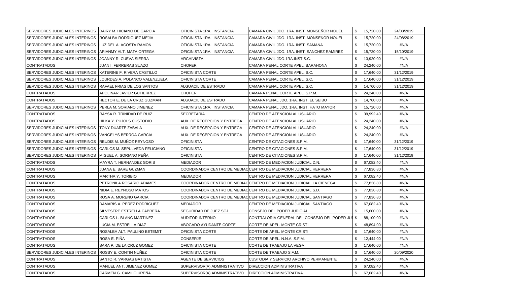| SERVIDORES JUDICIALES INTERINOS DAIRY M. HICIANO DE GARCIA |                                | OFICINISTA 1RA. INSTANCIA    | CAMARA CIVIL JDO. 1RA. INST. MONSEÑOR NOUEL                         |              | \$ 15,720.00 | 24/08/2019 |
|------------------------------------------------------------|--------------------------------|------------------------------|---------------------------------------------------------------------|--------------|--------------|------------|
| SERVIDORES JUDICIALES INTERINOS                            | <b>ROSALBA RODRIGUEZ MEJIA</b> | OFICINISTA 1RA. INSTANCIA    | CAMARA CIVIL JDO. 1RA. INST. MONSEÑOR NOUEL                         | \$           | 15,720.00    | 24/08/2019 |
| SERVIDORES JUDICIALES INTERINOS                            | LUZ DEL A. ACOSTA RAMON        | OFICINISTA 1RA. INSTANCIA    | CAMARA CIVIL JDO. 1RA. INST. SAMANA                                 | \$           | 15,720.00    | #N/A       |
| SERVIDORES JUDICIALES INTERINOS                            | ARIANMY ALT. MATA ORTEGA       | OFICINISTA 1RA. INSTANCIA    | CAMARA CIVIL JDO. 1RA. INST. SANCHEZ RAMIREZ                        | \$           | 15,720.00    | 15/10/2019 |
| SERVIDORES JUDICIALES INTERINOS                            | JOANNY R. CUEVA SIERRA         | ARCHIVISTA                   | CAMARA CIVIL JDO.1RA.INST.S.C.                                      | \$           | 13,920.00    | #N/A       |
| <b>CONTRATADOS</b>                                         | JUAN I. FERRERAS SUAZO         | <b>CHOFER</b>                | CAMARA PENAL CORTE APEL. BARAHONA                                   | \$           | 24,240.00    | #N/A       |
| SERVIDORES JUDICIALES INTERINOS                            | KATERINE F. RIVERA CASTILLO    | OFICINISTA CORTE             | CAMARA PENAL CORTE APEL. S.C.                                       | \$           | 17,640.00    | 31/12/2019 |
| SERVIDORES JUDICIALES INTERINOS                            | LOURDES A. POLANCO VALENZUELA  | OFICINISTA CORTE             | CAMARA PENAL CORTE APEL. S.C.                                       | \$.          | 17,640.00    | 31/12/2019 |
| SERVIDORES JUDICIALES INTERINOS                            | RAFAEL FRIAS DE LOS SANTOS     | ALGUACIL DE ESTRADO          | CAMARA PENAL CORTE APEL. S.C.                                       | \$           | 14,760.00    | 31/12/2019 |
| <b>CONTRATADOS</b>                                         | APOLINAR JAVIER GUTIERREZ      | CHOFER                       | CAMARA PENAL CORTE APEL. S.P.M.                                     | \$           | 24,240.00    | #N/A       |
| <b>CONTRATADOS</b>                                         | HECTOR E. DE LA CRUZ GUZMAN    | ALGUACIL DE ESTRADO          | CAMARA PENAL JDO. 1RA. INST. EL SEIBO                               | \$           | 14,760.00    | #N/A       |
| SERVIDORES JUDICIALES INTERINOS                            | PERLA M. SORIANO JIMENEZ       | OFICINISTA 1RA. INSTANCIA    | CAMARA PENAL JDO. 1RA. INST. HATO MAYOR                             | \$           | 15,720.00    | #N/A       |
| <b>CONTRATADOS</b>                                         | RAYSA R. TRINIDAD DE RUIZ      | <b>SECRETARIA</b>            | CENTRO DE ATENCION AL USUARIO                                       | \$           | 39,992.40    | #N/A       |
| <b>CONTRATADOS</b>                                         | HILKA Y. PUJOLS CUSTODIO       | AUX. DE RECEPCION Y ENTREGA  | CENTRO DE ATENCION AL USUARIO                                       | \$           | 24,240.00    | #N/A       |
| SERVIDORES JUDICIALES INTERINOS                            | TONY DUARTE ZABALA             | AUX. DE RECEPCION Y ENTREGA  | CENTRO DE ATENCION AL USUARIO                                       | \$           | 24,240.00    | #N/A       |
| <b>SERVIDORES JUDICIALES INTERINOS</b>                     | VANGELYS BERROA GARCIA         | AUX. DE RECEPCION Y ENTREGA  | CENTRO DE ATENCION AL USUARIO                                       | \$           | 24,240.00    | #N/A       |
| SERVIDORES JUDICIALES INTERINOS                            | REUDIS M. MUÑOZ REYNOSO        | <b>OFICINISTA</b>            | CENTRO DE CITACIONES S.P.M.                                         | \$           | 17,640.00    | 31/12/2019 |
| <b>SERVIDORES JUDICIALES INTERINOS</b>                     | CARLOS M. SEPULVEDA FELICIANO  | <b>OFICINISTA</b>            | CENTRO DE CITACIONES S.P.M.                                         | \$.          | 17,640.00    | 31/12/2019 |
| <b>SERVIDORES JUDICIALES INTERINOS</b>                     | MIGUEL A. SORIANO PEÑA         | <b>OFICINISTA</b>            | CENTRO DE CITACIONES S.P.M.                                         | \$           | 17,640.00    | 31/12/2019 |
| <b>CONTRATADOS</b>                                         | MAYRA T. HERNANDEZ GORIS       | MEDIADOR                     | CENTRO DE MEDIACION JUDICIAL D.N.                                   | \$           | 67,082.40    | #N/A       |
| <b>CONTRATADOS</b>                                         | JUANA E. BARE GUZMAN           |                              | COORDINADOR CENTRO DE MEDIAC CENTRO DE MEDIACION JUDICIAL HERRERA   | \$           | 77,836.80    | #N/A       |
| <b>CONTRATADOS</b>                                         | MARTHA Y. TORIBIO              | <b>MEDIADOR</b>              | CENTRO DE MEDIACION JUDICIAL HERRERA                                | \$           | 67,082.40    | #N/A       |
| <b>CONTRATADOS</b>                                         | PETRONILA ROSARIO ADAMES       |                              | COORDINADOR CENTRO DE MEDIACCENTRO DE MEDIACION JUDICIAL LA CIENEGA | \$           | 77,836.80    | #N/A       |
| <b>CONTRATADOS</b>                                         | NIDIA E. REYNOSO MATOS         |                              | COORDINADOR CENTRO DE MEDIACICENTRO DE MEDIACION JUDICIAL S.D.      | \$           | 77,836.80    | #N/A       |
| <b>CONTRATADOS</b>                                         | ROSA A. MORENO GARCIA          |                              | COORDINADOR CENTRO DE MEDIACCENTRO DE MEDIACION JUDICIAL SANTIAGO   | \$           | 77,836.80    | #N/A       |
| <b>CONTRATADOS</b>                                         | DAMARIS A. PEREZ RODRIGUEZ     | MEDIADOR                     | CENTRO DE MEDIACION JUDICIAL SANTIAGO                               | \$.          | 67,082.40    | #N/A       |
| <b>CONTRATADOS</b>                                         | SILVESTRE ESTRELLA CABRERA     | SEGURIDAD DE JUEZ SCJ        | CONSEJO DEL PODER JUDICIAL                                          | \$           | 15,600.00    | #N/A       |
| <b>CONTRATADOS</b>                                         | CARLOS L. BLANC MARTINEZ       | AUDITOR INTERNO              | CONTRALORIA GENERAL DEL CONSEJO DEL PODER JUI                       | \$           | 88,100.00    | #N/A       |
| <b>CONTRATADOS</b>                                         | LUCIA M. ESTRELLA DIAZ         | ABOGADO AYUDANTE CORTE       | CORTE DE APEL. MONTE CRISTI                                         | \$           | 48,894.00    | #N/A       |
| <b>CONTRATADOS</b>                                         | ROSALBA ALT. PAULINO BETEMIT   | OFICINISTA CORTE             | CORTE DE APEL. MONTE CRISTI                                         | \$           | 17,640.00    | #N/A       |
| <b>CONTRATADOS</b>                                         | ROSA E. PIÑA                   | CONSERJE                     | CORTE DE APEL. N.N.A. S.F.M.                                        | \$           | 12,444.00    | #N/A       |
| <b>CONTRATADOS</b>                                         | SARA P. DE LA CRUZ GOMEZ       | OFICINISTA CORTE             | CORTE DE TRABAJO LA VEGA                                            | \$           | 17,640.00    | #N/A       |
| <b>SERVIDORES JUDICIALES INTERINOS</b>                     | ROSSY E. CONTIN NUÑEZ          | OFICINISTA CORTE             | CORTE DE TRABAJO S.F.M.                                             | $\mathbf{s}$ | 17,640.00    | 20/09/2020 |
| <b>CONTRATADOS</b>                                         | SANTO R. VARGAS BATISTA        | <b>AGENTE DE SERVICIOS</b>   | CUSTODIA Y SERVICIO ARCHIVO PERMANENTE                              | \$           | 24,240.00    | #N/A       |
| <b>CONTRATADOS</b>                                         | MANUEL ANT. JIMENEZ GOMEZ      | SUPERVISOR(A) ADMINISTRATIVO | <b>DIRECCION ADMINISTRATIVA</b>                                     | \$           | 67,082.40    | #N/A       |
| <b>CONTRATADOS</b>                                         | CARMEN G. CAMILO UREÑA         | SUPERVISOR(A) ADMINISTRATIVO | <b>DIRECCION ADMINISTRATIVA</b>                                     | \$           | 67,082.40    | #N/A       |
|                                                            |                                |                              |                                                                     |              |              |            |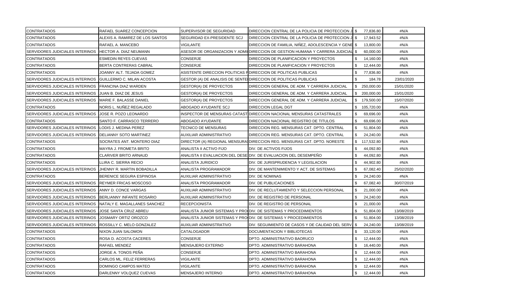| <b>CONTRATADOS</b>              | RAFAEL SUAREZ CONCEPCION        | SUPERVISOR DE SEGURIDAD       | DIRECCION CENTRAL DE LA POLICIA DE PROTECCION JI \$                            | 77,836.80         | #N/A       |
|---------------------------------|---------------------------------|-------------------------------|--------------------------------------------------------------------------------|-------------------|------------|
| CONTRATADOS                     | ALEXIS A. RAMIREZ DE LOS SANTOS | SEGURIDAD EX-PRESIDENTE SCJ   | DIRECCION CENTRAL DE LA POLICIA DE PROTECCION JI \$                            | 17,943.52         | #N/A       |
| <b>CONTRATADOS</b>              | RAFAEL A. MANCEBO               | VIGILANTE                     | DIRECCION DE FAMILIA, NIÑEZ, ADOLESCENCIA Y GENE \$                            | 13,800.00         | #N/A       |
| SERVIDORES JUDICIALES INTERINOS | HECTOR A. DIAZ NEUMANN          |                               | ASESOR DE ORGANIZACION Y ADMI DIRECCION DE GESTION HUMANA Y CARRERA JUDICIAL S | 60,000.00         | #N/A       |
| <b>CONTRATADOS</b>              | ESMEDIN REYES CUEVAS            | <b>CONSERJE</b>               | DIRECCION DE PLANIFICACION Y PROYECTOS                                         | 14,160.00         | #N/A       |
| <b>CONTRATADOS</b>              | BERTA CONTRERAS CABRAL          | <b>CONSERJE</b>               | DIRECCION DE PLANIFICACION Y PROYECTOS                                         | 12,444.00         | #N/A       |
| <b>CONTRATADOS</b>              | JOANNY ALT. TEJADA GOMEZ        |                               | ASISTENTE DIRECCION POLITICAS FIDIRECCION DE POLITICAS PUBLICAS                | 77,836.80         | #N/A       |
| SERVIDORES JUDICIALES INTERINOS | GUILLERMO C. MILAN ACOSTA       |                               | GESTOR (A) DE ANALISIS DE SENTE DIRECCION DE POLITICAS PUBLICAS                | 184.78            | 23/01/2020 |
| SERVIDORES JUDICIALES INTERINOS | <b>FRANCINA DIAZ WARDEN</b>     | GESTOR(A) DE PROYECTOS        | DIRECCION GENERAL DE ADM. Y CARRERA JUDICIAL                                   | 250,000.00<br>S.  | 15/01/2020 |
| SERVIDORES JUDICIALES INTERINOS | JUAN B. DIAZ DE JESUS           | <b>GESTOR(A) DE PROYECTOS</b> | DIRECCION GENERAL DE ADM. Y CARRERA JUDICIAL                                   | \$ 200,000.00     | 15/01/2020 |
| SERVIDORES JUDICIALES INTERINOS | MARIE F. BALASSE DANIEL         | <b>GESTOR(A) DE PROYECTOS</b> | DIRECCION GENERAL DE ADM. Y CARRERA JUDICIAL                                   | \$.<br>179,500.00 | 15/07/2020 |
| <b>CONTRATADOS</b>              | NORIS L. NUÑEZ REGALADO         | ABOGADO AYUDANTE SCJ          | DIRECCION LEGAL DGT                                                            | \$<br>105,720.00  | #N/A       |
| SERVIDORES JUDICIALES INTERINOS | JOSE R. POZO LEONARDO           |                               | INSPECTOR DE MENSURAS CATAST DIRECCION NACIONAL MENSURAS CATASTRALES           | 69,696.00         | #N/A       |
| <b>CONTRATADOS</b>              | SANTO F. CARRASCO TERRERO       | ABOGADO AYUDANTE              | DIRECCION NACIONAL REGISTRO DE TITULOS                                         | 69,696.00         | #N/A       |
| SERVIDORES JUDICIALES INTERINOS | LODIS J. MEDINA PEREZ           | TECNICO DE MENSURAS           | DIRECCION REG. MENSURAS CAT. DPTO. CENTRAL                                     | 51,804.00<br>-S   | #N/A       |
| SERVIDORES JUDICIALES INTERINOS | DELIANNY SOTO MARTINEZ          | AUXILIAR ADMINISTRATIVO       | DIRECCION REG. MENSURAS CAT. DPTO. CENTRAL                                     | \$<br>24,240.00   | #N/A       |
| <b>CONTRATADOS</b>              | SOCRATES ANT. MONTERO DIAZ      |                               | DIRECTOR (A) REGIONAL MENSURA(DIRECCION REG. MENSURAS CAT. DPTO. NORESTE       | \$<br>117,532.80  | #N/A       |
| <b>CONTRATADOS</b>              | MAYRA J. FROMETA BRITO          | ANALISTA II ACTIVO FIJO       | DIV. DE ACTIVOS FIJOS                                                          | \$<br>44,092.80   | #N/A       |
| <b>CONTRATADOS</b>              | CLARIVER BRITO ARNAUD           |                               | ANALISTA II EVALUACION DEL DESE DIV. DE EVALUACION DEL DESEMPEÑO               | 44,092.80         | #N/A       |
| <b>CONTRATADOS</b>              | LIRA C. SIERRA RECIO            | ANALISTA JURIDICO             | DIV. DE JURISPRUDENCIA Y LEGISLACION                                           | 44,902.80         | #N/A       |
| SERVIDORES JUDICIALES INTERINOS | JHENNY R. MARTIN BOBADILLA      | ANALISTA PROGRAMADOR          | DIV. DE MANTENIMIENTO Y ACT. DE SISTEMAS                                       | 67,082.40         | 25/02/2020 |
| <b>CONTRATADOS</b>              | BERENICE SEGURA ESPINOSA        | AUXILIAR ADMINISTRATIVO       | DIV. DE NOMINAS                                                                | \$.<br>24,240.00  | #N/A       |
| SERVIDORES JUDICIALES INTERINOS | <b>REYMER FRICAS MOSCOSO</b>    | ANALISTA PROGRAMADOR          | DIV. DE PUBLICACIONES                                                          | 67,082.40         | 30/07/2019 |
| SERVIDORES JUDICIALES INTERINOS | ANNY D. CONCE VARGAS            | AUXILIAR ADMINISTRATIVO       | DIV. DE RECLUTAMIENTO Y SELECCION PERSONAL                                     | 21,000.00<br>\$   | #N/A       |
| SERVIDORES JUDICIALES INTERINOS | BERLIANNY INFANTE ROSARIO       | AUXILIAR ADMINISTRATIVO       | DIV. DE REGISTRO DE PERSONAL                                                   | 24,240.00         | #N/A       |
| SERVIDORES JUDICIALES INTERINOS | NATALY E. MAGALLANES SANCHEZ    | RECEPCIONISTA                 | DIV. DE REGISTRO DE PERSONAL                                                   | 21,000.00         | #N/A       |
| SERVIDORES JUDICIALES INTERINOS | JOSE SANTA CRUZ ABREU           |                               | ANALISTA JUNIOR SISTEMAS Y PRO DIV. DE SISTEMAS Y PROCEDIMIENTOS               | 51,804.00         | 13/08/2019 |
| SERVIDORES JUDICIALES INTERINOS | JOSMARY ORTIZ OROZCO            |                               | ANALISTA JUNIOR SISTEMAS Y PRO≬DIV. DE SISTEMAS Y PROCEDIMIENTOS               | 51,804.00         | 13/08/2019 |
| SERVIDORES JUDICIALES INTERINOS | ROSSILLY C. MELO GONZALEZ       | AUXILIAR ADMINISTRATIVO       | DIV. SEGUIMIENTO DE CASOS Y DE CALIDAD DEL SERV. \$                            | 24,240.00         | 13/08/2019 |
| <b>CONTRATADOS</b>              | NIXON JUAN SALOMON              | CATALOGADOR                   | DOCUMENTACION Y BIBLIOTECAS                                                    | 33,120.00         | #N/A       |
| <b>CONTRATADOS</b>              | ROSA D. ACOSTA CACERES          | CONSERJE                      | DPTO. ADMINISTRATIVO BAORUCO                                                   | 12,444.00<br>\$.  | #N/A       |
| <b>CONTRATADOS</b>              | RAFAEL MENDEZ                   | <b>MENSAJERO EXTERNO</b>      | DPTO. ADMINISTRATIVO BARAHONA                                                  | \$<br>16,440.00   | #N/A       |
| <b>CONTRATADOS</b>              | JORGE A. TONOS PEÑA             | <b>CONSERJE</b>               | DPTO. ADMINISTRATIVO BARAHONA                                                  | 12,444.00<br>\$   | #N/A       |
| <b>CONTRATADOS</b>              | CARLOS ML. FELIZ FERRERAS       | VIGILANTE                     | DPTO. ADMINISTRATIVO BARAHONA                                                  | 12,444.00         | #N/A       |
| <b>CONTRATADOS</b>              | DOMINGO CAMPOS MATEO            | VIGILANTE                     | DPTO. ADMINISTRATIVO BARAHONA                                                  | 12,444.00         | #N/A       |
| <b>CONTRATADOS</b>              | DARLENNY VOLQUEZ CUEVAS         | <b>MENSAJERO INTERNO</b>      | DPTO. ADMINISTRATIVO BARAHONA                                                  | 12,444.00<br>\$.  | #N/A       |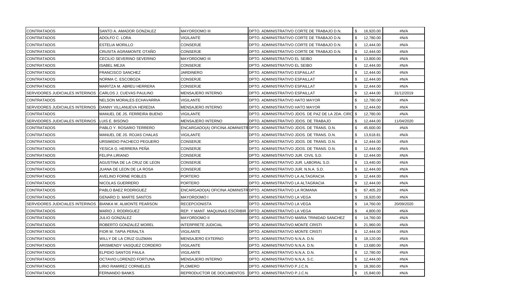| <b>CONTRATADOS</b>                     | SANTO A. AMADOR GONZALEZ         | <b>MAYORDOMO III</b>           | DPTO. ADMINISTRATIVO CORTE DE TRABAJO D.N.                              | \$  | 16,920.00 | #N/A       |
|----------------------------------------|----------------------------------|--------------------------------|-------------------------------------------------------------------------|-----|-----------|------------|
| <b>CONTRATADOS</b>                     | ADOLFO C. LORA                   | VIGILANTE                      | DPTO. ADMINISTRATIVO CORTE DE TRABAJO D.N.                              | \$  | 12,780.00 | #N/A       |
| <b>CONTRATADOS</b>                     | <b>ESTELIA MORILLO</b>           | <b>CONSERJE</b>                | DPTO. ADMINISTRATIVO CORTE DE TRABAJO D.N.                              | \$  | 12,444.00 | #N/A       |
| <b>CONTRATADOS</b>                     | CRUSITA AGRAMONTE OTAÑO          | <b>CONSERJE</b>                | DPTO. ADMINISTRATIVO CORTE DE TRABAJO D.N.                              | \$  | 12,444.00 | #N/A       |
| <b>CONTRATADOS</b>                     | CECILIO SEVERINO SEVERINO        | <b>MAYORDOMO III</b>           | DPTO. ADMINISTRATIVO EL SEIBO                                           | \$. | 13,800.00 | #N/A       |
| <b>CONTRATADOS</b>                     | <b>ISABEL MEJIA</b>              | <b>CONSERJE</b>                | DPTO. ADMINISTRATIVO EL SEIBO                                           | \$  | 12,444.00 | #N/A       |
| <b>CONTRATADOS</b>                     | <b>FRANCISCO SANCHEZ</b>         | JARDINERO                      | DPTO. ADMINISTRATIVO ESPAILLAT                                          | \$. | 12,444.00 | #N/A       |
| <b>CONTRATADOS</b>                     | NORMA C. ESCOBOZA                | CONSERJE                       | DPTO. ADMINISTRATIVO ESPAILLAT                                          |     | 12,444.00 | #N/A       |
| <b>CONTRATADOS</b>                     | MARITZA M. ABREU HERRERA         | <b>CONSERJE</b>                | DPTO. ADMINISTRATIVO ESPAILLAT                                          |     | 12,444.00 | #N/A       |
| <b>SERVIDORES JUDICIALES INTERINOS</b> | CARLOS J. CUEVAS PAULINO         | MENSAJERO INTERNO              | DPTO. ADMINISTRATIVO ESPAILLAT                                          |     | 12,444.00 | 31/12/2019 |
| <b>CONTRATADOS</b>                     | NELSON MORALES ECHAVARRIA        | VIGILANTE                      | DPTO. ADMINISTRATIVO HATO MAYOR                                         |     | 12,780.00 | #N/A       |
| SERVIDORES JUDICIALES INTERINOS        | DANNY VILLANUEVA HEREDIA         | MENSAJERO INTERNO              | DPTO. ADMINISTRATIVO HATO MAYOR                                         |     | 12,444.00 | #N/A       |
| <b>CONTRATADOS</b>                     | MANUEL DE JS. FERREIRA BUENO     | VIGILANTE                      | DPTO. ADMINISTRATIVO JDOS. DE PAZ DE LA 2DA. CIRCI                      | -\$ | 12,780.00 | #N/A       |
| SERVIDORES JUDICIALES INTERINOS        | LUIS E. BISONO                   | <b>MENSAJERO INTERNO</b>       | DPTO. ADMINISTRATIVO JDOS. DE TRABAJO                                   |     | 12,444.00 | 11/04/2020 |
| <b>CONTRATADOS</b>                     | PABLO Y. ROSARIO TERRERO         |                                | ENCARGADO(A) OFICINA ADMINISTROPTO. ADMINISTRATIVO JDOS. DE TRANS. D.N. |     | 45,600.00 | #N/A       |
| <b>CONTRATADOS</b>                     | MANUEL DE JS. ROJAS CHALAS       | VIGILANTE                      | DPTO. ADMINISTRATIVO JDOS. DE TRANS. D.N.                               |     | 13,618.81 | #N/A       |
| <b>CONTRATADOS</b>                     | URSIMIDIO PACHECO PEGUERO        | <b>CONSERJE</b>                | DPTO. ADMINISTRATIVO JDOS. DE TRANS. D.N.                               |     | 12,444.00 | #N/A       |
| <b>CONTRATADOS</b>                     | YESICA G. HERRERA PEÑA           | CONSERJE                       | DPTO. ADMINISTRATIVO JDOS. DE TRANS. D.N.                               | \$  | 12,444.00 | #N/A       |
| <b>CONTRATADOS</b>                     | <b>FELIPA LIRIANO</b>            | <b>CONSERJE</b>                | DPTO. ADMINISTRATIVO JUR. CIVIL S.D.                                    | \$. | 12,444.00 | #N/A       |
| <b>CONTRATADOS</b>                     | AGUSTINA DE LA CRUZ DE LEON      | CONSERJE                       | DPTO. ADMINISTRATIVO JUR. LABORAL S.D.                                  | \$  | 13,440.00 | #N/A       |
| <b>CONTRATADOS</b>                     | JUANA DE LEON DE LA ROSA         | CONSERJE                       | DPTO. ADMINISTRATIVO JUR. N.N.A. S.D.                                   | \$  | 12,444.00 | #N/A       |
| <b>CONTRATADOS</b>                     | <b>AVELINO FORNE ROBLES</b>      | <b>PORTERO</b>                 | DPTO. ADMINISTRATIVO LA ALTAGRACIA                                      |     | 12,444.00 | #N/A       |
| <b>CONTRATADOS</b>                     | NICOLAS GUERRERO                 | <b>PORTERO</b>                 | DPTO. ADMINISTRATIVO LA ALTAGRACIA                                      |     | 12,444.00 | #N/A       |
| <b>CONTRATADOS</b>                     | PABLO BAEZ RODRIGUEZ             |                                | ENCARGADO(A) OFICINA ADMINISTR DPTO. ADMINISTRATIVO LA ROMANA           |     | 67,405.20 | #N/A       |
| <b>CONTRATADOS</b>                     | <b>GENARO D. MARTE SANTOS</b>    | <b>MAYORDOMO I</b>             | DPTO. ADMINISTRATIVO LA VEGA                                            |     | 16,920.00 | #N/A       |
| SERVIDORES JUDICIALES INTERINOS        | <b>BIANKA M. ALMONTE PEARSON</b> | <b>RECEPCIONISTA</b>           | DPTO. ADMINISTRATIVO LA VEGA                                            |     | 14,760.00 | 20/09/2020 |
| <b>CONTRATADOS</b>                     | MARIO J. RODRIGUEZ               | REP. Y MANT. MAQUINAS ESCRIBIR | DPTO. ADMINISTRATIVO LA VEGA                                            |     | 4,800.00  | #N/A       |
| CONTRATADOS                            | JULIO GONZALEZ                   | <b>MAYORDOMO II</b>            | DPTO. ADMINISTRATIVO MARIA TRINIDAD SANCHEZ                             |     | 14,760.00 | #N/A       |
| <b>CONTRATADOS</b>                     | ROBERTO GONZALEZ MOREL           | <b>INTERPRETE JUDICIAL</b>     | DPTO. ADMINISTRATIVO MONTE CRISTI                                       |     | 21,960.00 | #N/A       |
| CONTRATADOS                            | FIOR M. TAPIA PERALTA            | VIGILANTE                      | DPTO. ADMINISTRATIVO MONTE CRISTI                                       | \$  | 12,444.00 | #N/A       |
| <b>CONTRATADOS</b>                     | WILLY DE LA CRUZ GUZMAN          | <b>MENSAJERO EXTERNO</b>       | DPTO. ADMINISTRATIVO N.N.A. D.N.                                        | \$  | 18,120.00 | #N/A       |
| <b>CONTRATADOS</b>                     | ARISMENDY VASQUEZ CORDERO        | <b>VIGILANTE</b>               | DPTO. ADMINISTRATIVO N.N.A. D.N.                                        | \$  | 13,680.00 | #N/A       |
| <b>CONTRATADOS</b>                     | <b>ELPIDIO SANTOS PAULA</b>      | <b>VIGILANTE</b>               | DPTO. ADMINISTRATIVO N.N.A. D.N.                                        | \$  | 12,780.00 | #N/A       |
| <b>CONTRATADOS</b>                     | OCTAVIO LORENZO FORTUNA          | <b>MENSAJERO INTERNO</b>       | DPTO. ADMINISTRATIVO N.N.A. S.C.                                        | \$  | 12,444.00 | #N/A       |
| <b>CONTRATADOS</b>                     | <b>LIRIO RAMIREZ CORNIELES</b>   | <b>PLOMERO</b>                 | DPTO. ADMINISTRATIVO P.J.C.N.                                           | \$  | 18,360.00 | #N/A       |
| <b>CONTRATADOS</b>                     | <b>FERNANDO BANKS</b>            | REPRODUCTOR DE DOCUMENTOS      | DPTO. ADMINISTRATIVO P.J.C.N.                                           | \$  | 15,840.00 | #N/A       |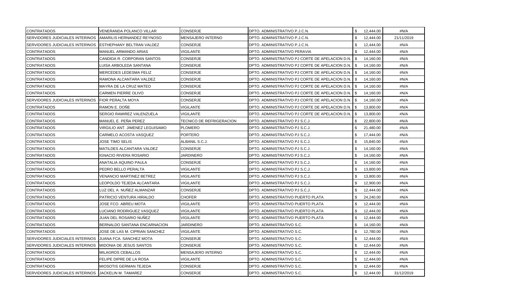| <b>CONTRATADOS</b>                     | VENERANDA POLANCO VILLAR        | <b>CONSERJE</b>          | DPTO. ADMINISTRATIVO P.J.C.N.                        | \$  | 12,444.00 | #N/A       |
|----------------------------------------|---------------------------------|--------------------------|------------------------------------------------------|-----|-----------|------------|
| SERVIDORES JUDICIALES INTERINOS        | AMARILIS HERNANDEZ REYNOSO      | <b>MENSAJERO INTERNO</b> | DPTO. ADMINISTRATIVO P.J.C.N.                        |     | 12,444.00 | 21/11/2019 |
| SERVIDORES JUDICIALES INTERINOS        | ESTHEPHANY BELTRAN VALDEZ       | <b>CONSERJE</b>          | DPTO. ADMINISTRATIVO P.J.C.N.                        | \$  | 12,444.00 | #N/A       |
| <b>CONTRATADOS</b>                     | MANUEL ARMANDO ARIAS            | <b>VIGILANTE</b>         | DPTO. ADMINISTRATIVO PERAVIA                         |     | 12,444.00 | #N/A       |
| <b>CONTRATADOS</b>                     | CANDIDA R. CORPORAN SANTOS      | <b>CONSERJE</b>          | DPTO. ADMINISTRATIVO PJ CORTE DE APELACION D.N.      | -S  | 14,160.00 | #N/A       |
| <b>CONTRATADOS</b>                     | LUISA ARBOLEDA SANTANA          | <b>CONSERJE</b>          | DPTO. ADMINISTRATIVO PJ CORTE DE APELACION D.N. S    |     | 14,160.00 | #N/A       |
| <b>CONTRATADOS</b>                     | MERCEDES LEDESMA FELIZ          | <b>CONSERJE</b>          | DPTO. ADMINISTRATIVO PJ CORTE DE APELACION D.N.   \$ |     | 14,160.00 | #N/A       |
| <b>CONTRATADOS</b>                     | RAMONA ALCANTARA VALDEZ         | <b>CONSERJE</b>          | DPTO. ADMINISTRATIVO PJ CORTE DE APELACION D.N.   \$ |     | 14,160.00 | #N/A       |
| <b>CONTRATADOS</b>                     | MAYRA DE LA CRUZ MATEO          | CONSERJE                 | DPTO. ADMINISTRATIVO PJ CORTE DE APELACION D.N.   \$ |     | 14,160.00 | #N/A       |
| <b>CONTRATADOS</b>                     | CARMEN PIERRE OLIVO             | CONSERJE                 | DPTO. ADMINISTRATIVO PJ CORTE DE APELACION D.N.   \$ |     | 14,160.00 | #N/A       |
| SERVIDORES JUDICIALES INTERINOS        | <b>FIOR PERALTA MOYA</b>        | CONSERJE                 | DPTO. ADMINISTRATIVO PJ CORTE DE APELACION D.N.   \$ |     | 14,160.00 | #N/A       |
| <b>CONTRATADOS</b>                     | RAMON E. DOÑE                   | VIGILANTE                | DPTO. ADMINISTRATIVO PJ CORTE DE APELACION D.N.   \$ |     | 13,800.00 | #N/A       |
| <b>CONTRATADOS</b>                     | SERGIO RAMIREZ VALENZUELA       | VIGILANTE                | DPTO. ADMINISTRATIVO PJ CORTE DE APELACION D.N. I \$ |     | 13,800.00 | #N/A       |
| <b>CONTRATADOS</b>                     | MANUEL E. PEÑA PEREZ            | TECNICO DE REFRIGERACION | DPTO. ADMINISTRATIVO PJ S.C.J.                       |     | 22,800.00 | #N/A       |
| <b>CONTRATADOS</b>                     | VIRGILIO ANT. JIMENEZ LEGUISAMO | PLOMERO                  | DPTO. ADMINISTRATIVO PJ S.C.J.                       |     | 21,480.00 | #N/A       |
| <b>CONTRATADOS</b>                     | CARMELO ACOSTA VASQUEZ          | <b>PORTERO</b>           | DPTO. ADMINISTRATIVO PJ S.C.J.                       |     | 17,444.00 | #N/A       |
| <b>CONTRATADOS</b>                     | JOSE TIMO SELIS                 | ALBANIL S.C.J.           | DPTO. ADMINISTRATIVO PJ S.C.J.                       |     | 15,840.00 | #N/A       |
| <b>CONTRATADOS</b>                     | MATILDES ALCANTARA VALDEZ       | CONSERJE                 | DPTO. ADMINISTRATIVO PJ S.C.J.                       | \$  | 14,160.00 | #N/A       |
| <b>CONTRATADOS</b>                     | <b>GNACIO RIVERA ROSARIO</b>    | <b>JARDINERO</b>         | DPTO. ADMINISTRATIVO PJ S.C.J.                       | \$. | 14,160.00 | #N/A       |
| <b>CONTRATADOS</b>                     | ANATALIA AQUINO PAULA           | <b>CONSERJE</b>          | DPTO. ADMINISTRATIVO PJ S.C.J.                       | \$  | 14,160.00 | #N/A       |
| <b>CONTRATADOS</b>                     | PEDRO BELLO PERALTA             | <b>VIGILANTE</b>         | DPTO. ADMINISTRATIVO PJ S.C.J.                       | \$  | 13,800.00 | #N/A       |
| <b>CONTRATADOS</b>                     | VENANCIO MARTINEZ BETREZ        | VIGILANTE                | DPTO. ADMINISTRATIVO PJ S.C.J.                       |     | 13,800.00 | #N/A       |
| <b>CONTRATADOS</b>                     | LEOPOLDO TEJEDA ALCANTARA       | <b>VIGILANTE</b>         | DPTO. ADMINISTRATIVO PJ S.C.J.                       |     | 12,900.00 | #N/A       |
| <b>CONTRATADOS</b>                     | LUZ DEL A. NUÑEZ ALMANZAR       | CONSERJE                 | DPTO. ADMINISTRATIVO PJ S.C.J.                       | £.  | 12,444.00 | #N/A       |
| <b>CONTRATADOS</b>                     | PATRICIO VENTURA HIRALDO        | <b>CHOFER</b>            | DPTO. ADMINISTRATIVO PUERTO PLATA                    |     | 24,240.00 | #N/A       |
| <b>CONTRATADOS</b>                     | JOSE FCO. ABREU MOTA            | VIGILANTE                | DPTO. ADMINISTRATIVO PUERTO PLATA                    |     | 12,444.00 | #N/A       |
| <b>CONTRATADOS</b>                     | UCIANO RODRIGUEZ VASQUEZ        | VIGILANTE                | DPTO. ADMINISTRATIVO PUERTO PLATA                    |     | 12,444.00 | #N/A       |
| <b>CONTRATADOS</b>                     | JUAN DEL ROSARIO NUNEZ          | VIGILANTE                | DPTO. ADMINISTRATIVO PUERTO PLATA                    |     | 12,444.00 | #N/A       |
| <b>CONTRATADOS</b>                     | BERNALDO SANTANA ENCARNACION    | JARDINERO                | DPTO. ADMINISTRATIVO S.C.                            |     | 14,160.00 | #N/A       |
| <b>CONTRATADOS</b>                     | JOSE DE LAS M. CIPRIAN SANCHEZ  | VIGILANTE                | DPTO. ADMINISTRATIVO S.C.                            |     | 12,780.00 | #N/A       |
| SERVIDORES JUDICIALES INTERINOS        | JUANA FCA. SANCHEZ MOTA         | CONSERJE                 | DPTO. ADMINISTRATIVO S.C.                            |     | 12,444.00 | #N/A       |
| <b>SERVIDORES JUDICIALES INTERINOS</b> | MIDONIA DE JESUS SANTOS         | CONSERJE                 | DPTO. ADMINISTRATIVO S.C.                            | \$. | 12,444.00 | #N/A       |
| <b>CONTRATADOS</b>                     | MILAGROS CEBALLOS               | <b>MENSAJERO INTERNO</b> | DPTO. ADMINISTRATIVO S.C.                            | \$. | 12,444.00 | #N/A       |
| <b>CONTRATADOS</b>                     | FELIPE DIPRE DE LA ROSA         | <b>VIGILANTE</b>         | DPTO. ADMINISTRATIVO S.C.                            |     | 12,444.00 | #N/A       |
| <b>CONTRATADOS</b>                     | MIOSOTIS GERMAN TEJEDA          | CONSERJE                 | DPTO. ADMINISTRATIVO S.C.                            |     | 12,444.00 | #N/A       |
| SERVIDORES JUDICIALES INTERINOS        | JACKELIN M. TAMAREZ             | <b>CONSERJE</b>          | DPTO. ADMINISTRATIVO S.C.                            |     | 12,444.00 | 31/12/2019 |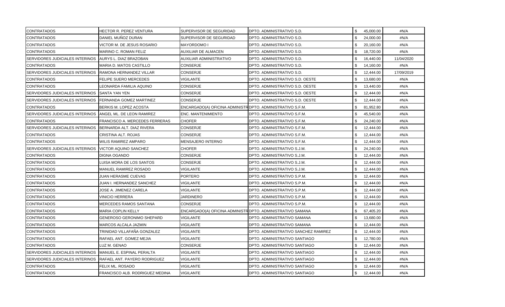| <b>CONTRATADOS</b>              | HECTOR R. PEREZ VENTURA         | SUPERVISOR DE SEGURIDAD                                    | DPTO. ADMINISTRATIVO S.D.            | 45,000.00        | #N/A       |
|---------------------------------|---------------------------------|------------------------------------------------------------|--------------------------------------|------------------|------------|
| CONTRATADOS                     | DANIEL MUÑOZ DURAN              | SUPERVISOR DE SEGURIDAD                                    | DPTO. ADMINISTRATIVO S.D.            | 24,000.00        | #N/A       |
| <b>CONTRATADOS</b>              | VICTOR M. DE JESUS ROSARIO      | <b>MAYORDOMOI</b>                                          | DPTO. ADMINISTRATIVO S.D.            | \$.<br>20,160.00 | #N/A       |
| <b>CONTRATADOS</b>              | MARINO C. ROMAN FELIZ           | AUXILIAR DE ALMACEN                                        | DPTO. ADMINISTRATIVO S.D.            | \$.<br>18,720.00 | #N/A       |
| SERVIDORES JUDICIALES INTERINOS | AURYS L. DIAZ BRAZOBAN          | AUXILIAR ADMINISTRATIVO                                    | DPTO. ADMINISTRATIVO S.D.            | 16,440.00<br>\$. | 11/04/2020 |
| <b>CONTRATADOS</b>              | MARIA D. MATOS CASTILLO         | <b>CONSERJE</b>                                            | DPTO. ADMINISTRATIVO S.D.            | \$.<br>14,160.00 | #N/A       |
| SERVIDORES JUDICIALES INTERINOS | RAMONA HERNANDEZ VILLAR         | CONSERJE                                                   | DPTO. ADMINISTRATIVO S.D.            | \$.<br>12,444.00 | 17/09/2019 |
| <b>CONTRATADOS</b>              | FELIPE SUERO MERCEDES           | VIGILANTE                                                  | DPTO. ADMINISTRATIVO S.D. OESTE      | 13,680.00        | #N/A       |
| <b>CONTRATADOS</b>              | LEONARDA FAMILIA AQUINO         | CONSERJE                                                   | DPTO. ADMINISTRATIVO S.D. OESTE      | 13,440.00        | #N/A       |
| SERVIDORES JUDICIALES INTERINOS | SANTA YAN YEN                   | CONSERJE                                                   | DPTO. ADMINISTRATIVO S.D. OESTE      | 12,444.00        | #N/A       |
| SERVIDORES JUDICIALES INTERINOS | FERNANDA GOMEZ MARTINEZ         | CONSERJE                                                   | DPTO. ADMINISTRATIVO S.D. OESTE      | 12,444.00        | #N/A       |
| <b>CONTRATADOS</b>              | BERKIS M. LOPEZ ACOSTA          | ENCARGADO(A) OFICINA ADMINISTR DPTO. ADMINISTRATIVO S.F.M. |                                      | 81,952.80        | #N/A       |
| SERVIDORES JUDICIALES INTERINOS | ANGEL ML. DE LEON RAMIREZ       | <b>ENC. MANTENIMIENTO</b>                                  | DPTO. ADMINISTRATIVO S.F.M.          | 45,540.00        | #N/A       |
| <b>CONTRATADOS</b>              | FRANCISCO A. MERCEDES FERRERAS  | <b>CHOFER</b>                                              | DPTO. ADMINISTRATIVO S.F.M.          | 24,240.00        | #N/A       |
| SERVIDORES JUDICIALES INTERINOS | BERNARDA ALT. DIAZ RIVERA       | CONSERJE                                                   | DPTO. ADMINISTRATIVO S.F.M.          | 12,444.00        | #N/A       |
| <b>CONTRATADOS</b>              | CRISTINA ALT. ROJAS             | CONSERJE                                                   | DPTO. ADMINISTRATIVO S.F.M.          | 12,444.00        | #N/A       |
| <b>CONTRATADOS</b>              | WILIS RAMIREZ AMPARO            | <b>MENSAJERO INTERNO</b>                                   | DPTO. ADMINISTRATIVO S.F.M.          | 12,444.00        | #N/A       |
| SERVIDORES JUDICIALES INTERINOS | <b>VICTOR AQUINO SANCHEZ</b>    | <b>CHOFER</b>                                              | DPTO. ADMINISTRATIVO S.J.M.          | 24,240.00<br>\$  | #N/A       |
| <b>CONTRATADOS</b>              | DIGNA OGANDO                    | <b>CONSERJE</b>                                            | DPTO. ADMINISTRATIVO S.J.M.          | \$.<br>12,444.00 | #N/A       |
| <b>CONTRATADOS</b>              | LUISA MORA DE LOS SANTOS        | <b>CONSERJE</b>                                            | DPTO. ADMINISTRATIVO S.J.M.          | 12,444.00        | #N/A       |
| <b>CONTRATADOS</b>              | MANUEL RAMIREZ ROSADO           | VIGILANTE                                                  | DPTO. ADMINISTRATIVO S.J.M.          | 12,444.00<br>\$  | #N/A       |
| <b>CONTRATADOS</b>              | JUAN HERASME CUEVAS             | <b>PORTERO</b>                                             | DPTO. ADMINISTRATIVO S.P.M.          | 12,444.00        | #N/A       |
| <b>CONTRATADOS</b>              | JUAN I. HERNANDEZ SANCHEZ       | VIGILANTE                                                  | DPTO. ADMINISTRATIVO S.P.M.          | 12,444.00        | #N/A       |
| <b>CONTRATADOS</b>              | JOSE A. JIMENEZ CARELA          | VIGILANTE                                                  | DPTO. ADMINISTRATIVO S.P.M.          | 12,444.00<br>S   | #N/A       |
| <b>CONTRATADOS</b>              | VINICIO HERRERA                 | <b>JARDINERO</b>                                           | DPTO. ADMINISTRATIVO S.P.M.          | 12,444.00        | #N/A       |
| <b>CONTRATADOS</b>              | MERCEDES RAMOS SANTANA          | CONSERJE                                                   | DPTO. ADMINISTRATIVO S.P.M.          | 12,444.00        | #N/A       |
| <b>CONTRATADOS</b>              | MARIA COPLIN KELLY              | ENCARGADO(A) OFICINA ADMINISTR DPTO. ADMINISTRATIVO SAMANA |                                      | 67,405.20        | #N/A       |
| CONTRATADOS                     | GENEROSO GERONIMO SHEPARD       | VIGILANTE                                                  | DPTO. ADMINISTRATIVO SAMANA          | 13,680.00        | #N/A       |
| CONTRATADOS                     | MARCOS ALCALA JAZMIN            | <b>VIGILANTE</b>                                           | DPTO. ADMINISTRATIVO SAMANA          | 12,444.00        | #N/A       |
| <b>CONTRATADOS</b>              | TRINIDAD VILLAFAÑA GONZALEZ     | VIGILANTE                                                  | DPTO. ADMINISTRATIVO SANCHEZ RAMIREZ | 12,444.00        | #N/A       |
| CONTRATADOS                     | RAFAEL ANT. GOMEZ MEJIA         | VIGILANTE                                                  | DPTO. ADMINISTRATIVO SANTIAGO        | 12,780.00        | #N/A       |
| <b>CONTRATADOS</b>              | UZ M. GENAO                     | CONSERJE                                                   | DPTO. ADMINISTRATIVO SANTIAGO        | 12,444.00<br>\$  | #N/A       |
| SERVIDORES JUDICIALES INTERINOS | MANUEL E. ESPINAL PERALTA       | <b>VIGILANTE</b>                                           | DPTO. ADMINISTRATIVO SANTIAGO        | \$.<br>12,444.00 | #N/A       |
| SERVIDORES JUDICIALES INTERINOS | RAFAEL ANT. PAYERO RODRIGUEZ    | VIGILANTE                                                  | DPTO. ADMINISTRATIVO SANTIAGO        | \$<br>12,444.00  | #N/A       |
| <b>CONTRATADOS</b>              | FELIX ML. ROSADO                | <b>VIGILANTE</b>                                           | DPTO. ADMINISTRATIVO SANTIAGO        | 12,444.00        | #N/A       |
| <b>CONTRATADOS</b>              | FRANCISCO ALB. RODRIGUEZ MEDINA | <b>VIGILANTE</b>                                           | DPTO. ADMINISTRATIVO SANTIAGO        | 12,444.00        | #N/A       |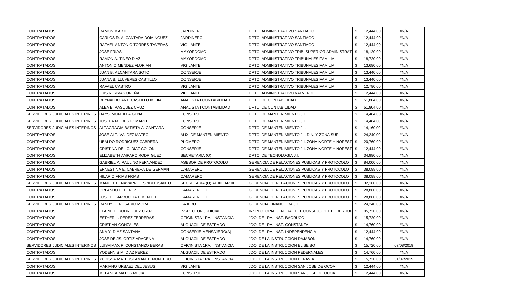| <b>CONTRATADOS</b>              | <b>RAMON MARTE</b>              | JARDINERO                    | DPTO. ADMINISTRATIVO SANTIAGO                       | \$           | 12,444.00  | #N/A       |
|---------------------------------|---------------------------------|------------------------------|-----------------------------------------------------|--------------|------------|------------|
| <b>CONTRATADOS</b>              | CARLOS R. ALCANTARA DOMINGUEZ   | JARDINERO                    | DPTO. ADMINISTRATIVO SANTIAGO                       | \$           | 12,444.00  | #N/A       |
| <b>CONTRATADOS</b>              | RAFAEL ANTONIO TORRES TAVERAS   | VIGILANTE                    | DPTO. ADMINISTRATIVO SANTIAGO                       | $\mathbb{S}$ | 12,444.00  | #N/A       |
| <b>CONTRATADOS</b>              | <b>JOSE FRIAS</b>               | <b>MAYORDOMO II</b>          | DPTO. ADMINISTRATIVO TRIB. SUPERIOR ADMINISTRATI    | \$           | 18,120.00  | #N/A       |
| <b>CONTRATADOS</b>              | RAMON A. TINEO DIAZ             | <b>MAYORDOMO III</b>         | DPTO. ADMINISTRATIVO TRIBUNALES FAMILIA             | \$           | 18,720.00  | #N/A       |
| <b>CONTRATADOS</b>              | ANTONIO MENDEZ FLORIAN          | <b>VIGILANTE</b>             | DPTO. ADMINISTRATIVO TRIBUNALES FAMILIA             | \$           | 13,680.00  | #N/A       |
| <b>CONTRATADOS</b>              | JUAN B. ALCANTARA SOTO          | <b>CONSERJE</b>              | DPTO. ADMINISTRATIVO TRIBUNALES FAMILIA             | \$           | 13,440.00  | #N/A       |
| <b>CONTRATADOS</b>              | JUANA B. LLUVERES CASTILLO      | <b>CONSERJE</b>              | DPTO. ADMINISTRATIVO TRIBUNALES FAMILIA             | \$           | 13,440.00  | #N/A       |
| <b>CONTRATADOS</b>              | RAFAEL CASTRO                   | <b>VIGILANTE</b>             | DPTO. ADMINISTRATIVO TRIBUNALES FAMILIA             | \$           | 12,780.00  | #N/A       |
| CONTRATADOS                     | LUIS R. RIVAS UREÑA             | VIGILANTE                    | DPTO. ADMINISTRATIVO VALVERDE                       | \$           | 12,444.00  | #N/A       |
| <b>CONTRATADOS</b>              | REYNALDO ANT. CASTILLO MEJIA    | ANALISTA I CONTABILIDAD      | DPTO. DE CONTABILIDAD                               | \$           | 51,804.00  | #N/A       |
| <b>CONTRATADOS</b>              | ALBA E. VASQUEZ CRUZ            | ANALISTA I CONTABILIDAD      | DPTO. DE CONTABILIDAD                               | \$           | 51,804.00  | #N/A       |
| SERVIDORES JUDICIALES INTERINOS | <b>I</b> DAYSI MONTILLA GENAO   | <b>CONSERJE</b>              | DPTO. DE MANTENIMIENTO J.I.                         | \$           | 14,484.00  | #N/A       |
| SERVIDORES JUDICIALES INTERINOS | JOSEFA MODESTO MARTE            | CONSERJE                     | DPTO. DE MANTENIMIENTO J.I.                         | \$           | 14,484.00  | #N/A       |
| SERVIDORES JUDICIALES INTERINOS | ALTAGRACIA BATISTA ALCANTARA    | <b>CONSERJE</b>              | DPTO. DE MANTENIMIENTO J.I.                         | \$           | 14,160.00  | #N/A       |
| <b>CONTRATADOS</b>              | JOSE ALT. VALDEZ MATEO          | <b>AUX. DE MANTENIMIENTO</b> | DPTO. DE MANTENIMIENTO J.I. D.N. Y ZONA SUR         | \$           | 24,240.00  | #N/A       |
| CONTRATADOS                     | JBALDO RODRIGUEZ CABRERA        | <b>PLOMERO</b>               | DPTO. DE MANTENIMIENTO J.I. ZONA NORTE Y NORESTI \$ |              | 20,760.00  | #N/A       |
| <b>CONTRATADOS</b>              | CRISTINA DEL C. DIAZ COLON      | <b>CONSERJE</b>              | DPTO. DE MANTENIMIENTO J.I. ZONA NORTE Y NORESTI \$ |              | 12,444.00  | #N/A       |
| <b>CONTRATADOS</b>              | ELIZABETH AMPARO RODRIGUEZ      | SECRETARIA (O)               | DPTO. DE TECNOLOGIA J.I.                            | \$           | 34,980.00  | #N/A       |
| CONTRATADOS                     | GABRIEL A. PAULINO FERNANDEZ    | ASESOR DE PROTOCOLO          | GERENCIA DE RELACIONES PUBLICAS Y PROTOCOLO         | \$           | 84,000.00  | #N/A       |
| <b>CONTRATADOS</b>              | ERNESTINA E. CABRERA DE GERMAN  | CAMARERO I                   | GERENCIA DE RELACIONES PUBLICAS Y PROTOCOLO         | \$           | 38,088.00  | #N/A       |
| <b>CONTRATADOS</b>              | HILARIO FRIAS FRIAS             | CAMARERO I                   | GERENCIA DE RELACIONES PUBLICAS Y PROTOCOLO         | \$           | 38,088.00  | #N/A       |
| SERVIDORES JUDICIALES INTERINOS | MANUEL E. NAVARRO ESPIRITUSANTO | SECRETARIA (O) AUXILIAR III  | GERENCIA DE RELACIONES PUBLICAS Y PROTOCOLO         | \$           | 32,160.00  | #N/A       |
| <b>CONTRATADOS</b>              | ORLANDO E. PEREZ                | <b>CAMARERO III</b>          | GERENCIA DE RELACIONES PUBLICAS Y PROTOCOLO         | \$           | 28,860.00  | #N/A       |
| <b>CONTRATADOS</b>              | JOSE L. CARBUCCIA PIMENTEL      | <b>CAMARERO III</b>          | GERENCIA DE RELACIONES PUBLICAS Y PROTOCOLO         | \$           | 28,860.00  | #N/A       |
| SERVIDORES JUDICIALES INTERINOS | RANDY G. ROSARIO MORA           | <b>CAJERO</b>                | <b>GERENCIA FINANCIERA J.I.</b>                     | \$           | 24,240.00  | #N/A       |
| <b>CONTRATADOS</b>              | ELAINE F. RODRIGUEZ CRUZ        | <b>INSPECTOR JUDICIAL</b>    | INSPECTORIA GENERAL DEL CONSEJO DEL PODER JUD       | \$           | 105,720.00 | #N/A       |
| <b>CONTRATADOS</b>              | ESTHER L. PEREZ FERRERAS        | OFICINISTA 1RA. INSTANCIA    | JDO. DE 1RA. INST. BAORUCO                          | \$           | 15,720.00  | #N/A       |
| <b>CONTRATADOS</b>              | CRISTIAN GONZALES               | ALGUACIL DE ESTRADO          | JDO. DE 1RA. INST. CONSTANZA                        | \$           | 14,760.00  | #N/A       |
| <b>CONTRATADOS</b>              | ANA Y. DIAZ SANTANA             | CONSERJE-MENSAJERO(A)        | JDO. DE 1RA. INST. INDEPENDENCIA                    | \$           | 12,444.00  | #N/A       |
| <b>CONTRATADOS</b>              | JOSE DE JS. ORTIZ ARACENA       | ALGUACIL DE ESTRADO          | JDO. DE LA INSTRUCCION DAJABON                      | \$           | 14,760.00  | #N/A       |
| SERVIDORES JUDICIALES INTERINOS | LUISAIMAX P. CONSTANZO BERAS    | OFICINISTA 1RA. INSTANCIA    | JDO. DE LA INSTRUCCION EL SEIBO                     | \$           | 15,720.00  | 07/08/2019 |
| <b>CONTRATADOS</b>              | YODENNIS M. DIAZ PEREZ          | ALGUACIL DE ESTRADO          | JDO. DE LA INSTRUCCION PEDERNALES                   | \$           | 14,760.00  | #N/A       |
| SERVIDORES JUDICIALES INTERINOS | YUDISSA MA. BUSTAMANTE MONTERO  | OFICINISTA 1RA. INSTANCIA    | JDO. DE LA INSTRUCCION PERAVIA                      | \$           | 15,720.00  | 31/07/2019 |
| <b>CONTRATADOS</b>              | MARIANO URBAEZ DEL JESUS        | <b>VIGILANTE</b>             | JDO. DE LA INSTRUCCION SAN JOSE DE OCOA             | \$           | 12,444.00  | #N/A       |
| <b>CONTRATADOS</b>              | MELANEA MATOS MEJIA             | <b>CONSERJE</b>              | JDO. DE LA INSTRUCCION SAN JOSE DE OCOA             | \$           | 12,444.00  | #N/A       |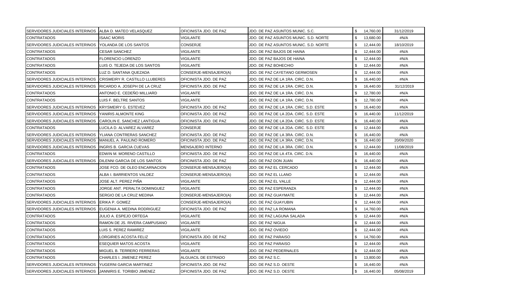| SERVIDORES JUDICIALES INTERINOS   ALBA D. MATEO VELASQUEZ |                                       | OFICINISTA JDO. DE PAZ   | JDO. DE PAZ ASUNTOS MUNIC. S.C.        | \$ | 14,760.00 | 31/12/2019 |
|-----------------------------------------------------------|---------------------------------------|--------------------------|----------------------------------------|----|-----------|------------|
| <b>CONTRATADOS</b>                                        | <b>ISAAC MORIS</b>                    | <b>VIGILANTE</b>         | JDO. DE PAZ ASUNTOS MUNIC. S.D. NORTE  | \$ | 13,680.00 | #N/A       |
| <b>SERVIDORES JUDICIALES INTERINOS</b>                    | YOLANDA DE LOS SANTOS                 | CONSERJE                 | JDO. DE PAZ ASUNTOS MUNIC. S.D. NORTE  | \$ | 12,444.00 | 18/10/2019 |
| <b>CONTRATADOS</b>                                        | <b>CESAR SANCHEZ</b>                  | VIGILANTE                | JDO. DE PAZ BAJOS DE HAINA             | \$ | 12,444.00 | #N/A       |
| <b>CONTRATADOS</b>                                        | FLORENCIO LORENZO                     | <b>VIGILANTE</b>         | JDO. DE PAZ BAJOS DE HAINA             | \$ | 12,444.00 | #N/A       |
| <b>CONTRATADOS</b>                                        | LUIS O. TEJEDA DE LOS SANTOS          | <b>VIGILANTE</b>         | JDO. DE PAZ BOHECHIO                   | \$ | 12,444.00 | #N/A       |
| <b>CONTRATADOS</b>                                        | LUZ D. SANTANA QUEZADA                | CONSERJE-MENSAJERO(A)    | JDO. DE PAZ CAYETANO GERMOSEN          | \$ | 12,444.00 | #N/A       |
| <b>SERVIDORES JUDICIALES INTERINOS</b>                    | <b>CRISMEIRY R. CASTILLO LLUBERES</b> | OFICINISTA JDO. DE PAZ   | JDO. DE PAZ DE LA 1RA. CIRC. D.N.      | \$ | 16,440.00 | #N/A       |
| SERVIDORES JUDICIALES INTERINOS                           | RICARDO A. JOSEPH DE LA CRUZ          | OFICINISTA JDO. DE PAZ   | JDO. DE PAZ DE LA 1RA. CIRC. D.N.      | \$ | 16,440.00 | 31/12/2019 |
| <b>CONTRATADOS</b>                                        | ANTONIO E. CEDEÑO MILLIARD            | VIGILANTE                | JDO. DE PAZ DE LA 1RA. CIRC. D.N.      | \$ | 12,780.00 | #N/A       |
| <b>CONTRATADOS</b>                                        | LUIS F. BELTRE SANTOS                 | VIGILANTE                | JDO. DE PAZ DE LA 1RA. CIRC. D.N.      | \$ | 12,780.00 | #N/A       |
| <b>SERVIDORES JUDICIALES INTERINOS</b>                    | <b>KRYSMEIRY G. ESTEVEZ</b>           | OFICINISTA JDO. DE PAZ   | JDO. DE PAZ DE LA 1RA. CIRC. S.D. ESTE | \$ | 16,440.00 | #N/A       |
| <b>SERVIDORES JUDICIALES INTERINOS</b>                    | YANIRIS ALMONTE KING                  | OFICINISTA JDO. DE PAZ   | JDO. DE PAZ DE LA 2DA. CIRC. S.D. ESTE | \$ | 16,440.00 | 11/12/2019 |
| SERVIDORES JUDICIALES INTERINOS                           | CAROLIN E. SANCHEZ LANTIGUA           | OFICINISTA JDO. DE PAZ   | JDO. DE PAZ DE LA 2DA. CIRC. S.D. ESTE | \$ | 16,440.00 | #N/A       |
| <b>CONTRATADOS</b>                                        | LUCILA D. ALVAREZ ALVAREZ             | <b>CONSERJE</b>          | JDO. DE PAZ DE LA 2DA. CIRC. S.D. ESTE | \$ | 12,444.00 | #N/A       |
| <b>SERVIDORES JUDICIALES INTERINOS</b>                    | YLIANA CONTRERAS SANCHEZ              | OFICINISTA JDO. DE PAZ   | JDO. DE PAZ DE LA 3RA. CIRC. D.N.      | \$ | 16,440.00 | #N/A       |
| SERVIDORES JUDICIALES INTERINOS                           | MANUEL A. PAULINO ROMERO              | OFICINISTA JDO. DE PAZ   | JDO. DE PAZ DE LA 3RA. CIRC. D.N.      | ß. | 16,440.00 | 20/09/2020 |
| <b>SERVIDORES JUDICIALES INTERINOS</b>                    | <b>INGRIS B. GARCIA CUEVAS</b>        | <b>MENSAJERO INTERNO</b> | JDO. DE PAZ DE LA 3RA. CIRC. D.N.      | \$ | 12,444.00 | 11/08/2019 |
| <b>CONTRATADOS</b>                                        | EDWIN M. MORENO CASTILLO              | OFICINISTA JDO. DE PAZ   | JDO. DE PAZ DE LA 4TA. CIRC. D.N.      | \$ | 16,440.00 | #N/A       |
| SERVIDORES JUDICIALES INTERINOS                           | DILENNI GARCIA DE LOS SANTOS          | OFICINISTA JDO. DE PAZ   | JDO. DE PAZ DON JUAN                   | \$ | 16,440.00 | #N/A       |
| <b>CONTRATADOS</b>                                        | JOSE FCO. DE OLEO ENCARNACION         | CONSERJE-MENSAJERO(A)    | JDO. DE PAZ EL CERCADO                 | \$ | 12,444.00 | #N/A       |
| <b>CONTRATADOS</b>                                        | ALBA I. BARRIENTOS VALDEZ             | CONSERJE-MENSAJERO(A)    | JDO. DE PAZ EL LLANO                   | \$ | 12,444.00 | #N/A       |
| <b>CONTRATADOS</b>                                        | JOSE ALT. PEREZ PIÑA                  | VIGILANTE                | JDO. DE PAZ EL VALLE                   | \$ | 12,444.00 | #N/A       |
| <b>CONTRATADOS</b>                                        | JORGE ANT. PERALTA DOMINGUEZ          | <b>VIGILANTE</b>         | JDO. DE PAZ ESPERANZA                  | \$ | 12,444.00 | #N/A       |
| <b>CONTRATADOS</b>                                        | SERGIO DE LA CRUZ MEDINA              | CONSERJE-MENSAJERO(A)    | JDO. DE PAZ GUAYMATE                   | \$ | 12,444.00 | #N/A       |
| <b>SERVIDORES JUDICIALES INTERINOS</b>                    | ERIKA P. GOMEZ                        | CONSERJE-MENSAJERO(A)    | JDO. DE PAZ GUAYUBIN                   | \$ | 12,444.00 | #N/A       |
| SERVIDORES JUDICIALES INTERINOS                           | EUGENIA A. MEDINA RODRIGUEZ           | OFICINISTA JDO. DE PAZ   | JDO. DE PAZ LA ROMANA                  | \$ | 14,760.00 | #N/A       |
| <b>CONTRATADOS</b>                                        | JULIO A. ESPEJO ORTEGA                | VIGILANTE                | JDO. DE PAZ LAGUNA SALADA              | \$ | 12,444.00 | #N/A       |
| <b>CONTRATADOS</b>                                        | RAMON DE JS. RIVERA CAMPUSANO         | VIGILANTE                | JDO. DE PAZ NIGUA                      | \$ | 12,444.00 | #N/A       |
| <b>CONTRATADOS</b>                                        | LUIS S. PEREZ RAMIREZ                 | VIGILANTE                | JDO. DE PAZ OVIEDO                     | \$ | 12,444.00 | #N/A       |
| <b>CONTRATADOS</b>                                        | LORGIRIES ACOSTA FELIZ                | OFICINISTA JDO. DE PAZ   | JDO. DE PAZ PARAISO                    | \$ | 14,760.00 | #N/A       |
| <b>CONTRATADOS</b>                                        | <b>ESEQUIER MATOS ACOSTA</b>          | <b>VIGILANTE</b>         | JDO. DE PAZ PARAISO                    | \$ | 12,444.00 | #N/A       |
| <b>CONTRATADOS</b>                                        | MIGUEL B. TERRERO FERRERAS            | VIGILANTE                | JDO. DE PAZ PEDERNALES                 | \$ | 12,444.00 | #N/A       |
| <b>CONTRATADOS</b>                                        | <b>CHARLES I. JIMENEZ PEREZ</b>       | ALGUACIL DE ESTRADO      | JDO. DE PAZ S.C.                       | \$ | 13,800.00 | #N/A       |
| <b>SERVIDORES JUDICIALES INTERINOS</b>                    | YUGERNI GARCIA MARTINEZ               | OFICINISTA JDO. DE PAZ   | JDO. DE PAZ S.D. OESTE                 | \$ | 16,440.00 | #N/A       |
| SERVIDORES JUDICIALES INTERINOS                           | JANNIRIS E. TORIBIO JIMENEZ           | OFICINISTA JDO. DE PAZ   | JDO. DE PAZ S.D. OESTE                 | \$ | 16,440.00 | 05/08/2019 |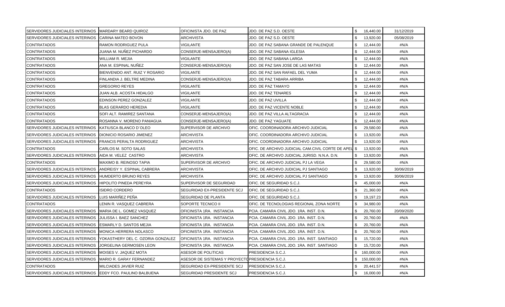| SERVIDORES JUDICIALES INTERINOS MARDARY BEARD QUIROZ       |                                   | OFICINISTA JDO. DE PAZ                           | JDO. DE PAZ S.D. OESTE                               | \$<br>16,440.00  | 31/12/2019 |
|------------------------------------------------------------|-----------------------------------|--------------------------------------------------|------------------------------------------------------|------------------|------------|
| <b>SERVIDORES JUDICIALES INTERINOS</b>                     | ICARINA MATEO BOVON               | <b>ARCHIVISTA</b>                                | JDO. DE PAZ S.D. OESTE                               | \$<br>13,920.00  | 05/08/2019 |
| <b>CONTRATADOS</b>                                         | RAMON RODRIGUEZ PULA              | VIGILANTE                                        | JDO. DE PAZ SABANA GRANDE DE PALENQUE                | \$<br>12,444.00  | #N/A       |
| <b>CONTRATADOS</b>                                         | JUANA M. NUÑEZ PICHARDO           | CONSERJE-MENSAJERO(A)                            | JDO. DE PAZ SABANA IGLESIA                           | \$<br>12,444.00  | #N/A       |
| <b>CONTRATADOS</b>                                         | WILLIAM R. MEJIA                  | VIGILANTE                                        | JDO. DE PAZ SABANA LARGA                             | \$<br>12,444.00  | #N/A       |
| <b>CONTRATADOS</b>                                         | ANA M. ESPINAL NUÑEZ              | CONSERJE-MENSAJERO(A)                            | JDO. DE PAZ SAN JOSE DE LAS MATAS                    | \$<br>12,444.00  | #N/A       |
| <b>CONTRATADOS</b>                                         | BIENVENIDO ANT. RUIZ Y ROSARIO    | <b>VIGILANTE</b>                                 | JDO. DE PAZ SAN RAFAEL DEL YUMA                      | \$<br>12,444.00  | #N/A       |
| <b>CONTRATADOS</b>                                         | FINLANDIA J. BELTRE MEDINA        | CONSERJE-MENSAJERO(A)                            | JDO. DE PAZ TABARA ARRIBA                            | \$<br>12,444.00  | #N/A       |
| <b>CONTRATADOS</b>                                         | GREGORIO REYES                    | VIGILANTE                                        | JDO. DE PAZ TAMAYO                                   | \$<br>12,444.00  | #N/A       |
| <b>CONTRATADOS</b>                                         | JUAN ALB. ACOSTA HIDALGO          | VIGILANTE                                        | JDO. DE PAZ TENARES                                  | \$<br>12,444.00  | #N/A       |
| <b>CONTRATADOS</b>                                         | EDINSON PEREZ GONZALEZ            | VIGILANTE                                        | JDO. DE PAZ UVILLA                                   | \$<br>12,444.00  | #N/A       |
| <b>CONTRATADOS</b>                                         | <b>BLAS GERARDO HEREDIA</b>       | VIGILANTE                                        | JDO. DE PAZ VICENTE NOBLE                            | \$<br>12,444.00  | #N/A       |
| <b>CONTRATADOS</b>                                         | SOFI ALT. RAMIREZ SANTANA         | CONSERJE-MENSAJERO(A)                            | JDO. DE PAZ VILLA ALTAGRACIA                         | \$<br>12,444.00  | #N/A       |
| <b>CONTRATADOS</b>                                         | ROSANNA V. MORENO PANIAGUA        | CONSERJE-MENSAJERO(A)                            | JDO. DE PAZ YAGUATE                                  | \$<br>12,444.00  | #N/A       |
| SERVIDORES JUDICIALES INTERINOS                            | KATIUSCA BLANCO D'OLEO            | SUPERVISOR DE ARCHIVO                            | OFIC. COORDINADORA ARCHIVO JUDICIAL                  | \$<br>29,580.00  | #N/A       |
| SERVIDORES JUDICIALES INTERINOS                            | <b>DIONICIO ROSARIO JIMENEZ</b>   | <b>ARCHIVISTA</b>                                | OFIC. COORDINADORA ARCHIVO JUDICIAL                  | \$<br>13,920.00  | #N/A       |
| SERVIDORES JUDICIALES INTERINOS                            | <b>FRANCIS PERALTA RODRIGUEZ</b>  | ARCHIVISTA                                       | OFIC. COORDINADORA ARCHIVO JUDICIAL                  | \$<br>13,920.00  | #N/A       |
| <b>CONTRATADOS</b>                                         | CARLOS M. SOTO SALAS              | <b>ARCHIVISTA</b>                                | OFIC. DE ARCHIVO JUDICIAL CAM.CIVIL CORTE DE APEL \$ | 13,920.00        | #N/A       |
| SERVIDORES JUDICIALES INTERINOS                            | AIDA M. VELEZ CASTRO              | <b>ARCHIVISTA</b>                                | OFIC. DE ARCHIVO JUDICIAL JURISD. N.N.A. D.N.        | \$<br>13,920.00  | #N/A       |
| <b>CONTRATADOS</b>                                         | MAXIMO B. REINOSO TAPIA           | SUPERVISOR DE ARCHIVO                            | OFIC. DE ARCHIVO JUDICIAL PJ LA VEGA                 | \$<br>29,580.00  | #N/A       |
| <b>SERVIDORES JUDICIALES INTERINOS</b>                     | ANDREISY Y. ESPINAL CABRERA       | <b>ARCHIVISTA</b>                                | OFIC. DE ARCHIVO JUDICIAL PJ SANTIAGO                | 13,920.00<br>\$  | 30/06/2019 |
| SERVIDORES JUDICIALES INTERINOS                            | <b>HUMDERTO BRUNO REYES</b>       | <b>ARCHIVISTA</b>                                | OFIC. DE ARCHIVO JUDICIAL PJ SANTIAGO                | \$<br>13,920.00  | 30/06/2019 |
| SERVIDORES JUDICIALES INTERINOS                            | <b>HIPOLITO PINEDA PEREYRA</b>    | SUPERVISOR DE SEGURIDAD                          | OFIC. DE SEGURIDAD S.C.J.                            | \$<br>45,000.00  | #N/A       |
| <b>CONTRATADOS</b>                                         | <b>ISIDRO CORDERO</b>             | SEGURIDAD EX-PRESIDENTE SCJ                      | OFIC. DE SEGURIDAD S.C.J.                            | \$.<br>21,360.00 | #N/A       |
| SERVIDORES JUDICIALES INTERINOS                            | LUIS MARIÑEZ PEÑA                 | SEGURIDAD DE PLANTA                              | OFIC. DE SEGURIDAD S.C.J.                            | \$<br>19,197.23  | #N/A       |
| <b>CONTRATADOS</b>                                         | LENIN R. VASQUEZ CABRERA          | SOPORTE TECNICO II                               | OFIC. DE TECNOLOGIAS REGIONAL ZONA NORTE             | \$<br>34,980.00  | #N/A       |
| SERVIDORES JUDICIALES INTERINOS                            | MARIA DE L. GOMEZ VASQUEZ         | OFICINISTA 1RA. INSTANCIA                        | PCIA. CAMARA CIVIL JDO. 1RA. INST. D.N.              | \$<br>20,760.00  | 20/09/2020 |
| SERVIDORES JUDICIALES INTERINOS                            | JULISSA I. BAEZ SANCHEZ           | OFICINISTA 1RA. INSTANCIA                        | PCIA. CAMARA CIVIL JDO. 1RA. INST. D.N.              | \$<br>20,760.00  | #N/A       |
| SERVIDORES JUDICIALES INTERINOS                            | <b>ESMARLY D. SANTOS MEJIA</b>    | OFICINISTA 1RA. INSTANCIA                        | PCIA. CAMARA CIVIL JDO. 1RA. INST. D.N.              | \$<br>20,760.00  | #N/A       |
| SERVIDORES JUDICIALES INTERINOS                            | MONICA HERRERA NOLASCO            | OFICINISTA 1RA. INSTANCIA                        | PCIA. CAMARA CIVIL JDO. 1RA. INST. D.N.              | \$<br>20,760.00  | #N/A       |
| SERVIDORES JUDICIALES INTERINOS                            | YOKASTHERY DEL C. OZORIA GONZALEZ | <b>OFICINISTA 1RA. INSTANCIA</b>                 | PCIA. CAMARA CIVIL JDO. 1RA. INST. SANTIAGO          | \$<br>15,720.00  | #N/A       |
| SERVIDORES JUDICIALES INTERINOS                            | <b>JORGELINA GERMOSEN LEON</b>    | OFICINISTA 1RA. INSTANCIA                        | PCIA. CAMARA CIVIL JDO. 1RA. INST. SANTIAGO          | \$<br>15,720.00  | #N/A       |
| SERVIDORES JUDICIALES INTERINOS                            | MOISES V. JAQUEZ MOTA             | ASESOR DE POLITICAS                              | PRESIDENCIA S.C.J.                                   | \$<br>160,000.00 | #N/A       |
| SERVIDORES JUDICIALES INTERINOS                            | <b>IMARIO R. GARAY FERNANDEZ</b>  | ASESOR DE SISTEMAS Y PROYECTO PRESIDENCIA S.C.J. |                                                      | \$<br>150,000.00 | #N/A       |
| <b>CONTRATADOS</b>                                         | MILCIADES JAVIER RUIZ             | SEGURIDAD EX-PRESIDENTE SCJ                      | PRESIDENCIA S.C.J.                                   | \$<br>20,441.57  | #N/A       |
| SERVIDORES JUDICIALES INTERINOS EDDY FCO. PAULINO BALBUENA |                                   | SEGURIDAD PRESIDENTE SCJ                         | PRESIDENCIA S.C.J.                                   | \$<br>16,000.00  | #N/A       |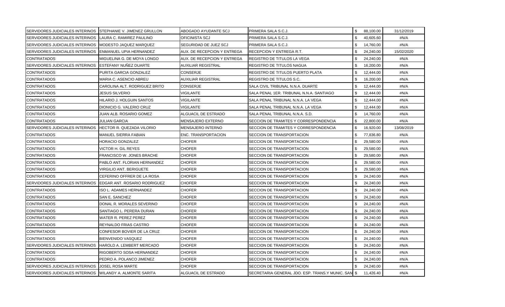| SERVIDORES JUDICIALES INTERINOS STEPHANIE V. JIMENEZ GRULLON |                                  | ABOGADO AYUDANTE SCJ        | PRIMERA SALA S.C.J.                                | \$<br>88,100.00             | 31/12/2019 |
|--------------------------------------------------------------|----------------------------------|-----------------------------|----------------------------------------------------|-----------------------------|------------|
| SERVIDORES JUDICIALES INTERINOS                              | <b>ILAURA C. RAMIREZ PAULINO</b> | OFICINISTA SCJ              | PRIMERA SALA S.C.J.                                | \$<br>40,605.60             | #N/A       |
| SERVIDORES JUDICIALES INTERINOS                              | MODESTO JAQUEZ MARQUEZ           | SEGURIDAD DE JUEZ SCJ       | PRIMERA SALA S.C.J.                                | \$<br>14,760.00             | #N/A       |
| SERVIDORES JUDICIALES INTERINOS                              | ENMANUEL UPIA HERNANDEZ          | AUX. DE RECEPCION Y ENTREGA | <b>RECEPCION Y ENTREGA R.T.</b>                    | \$<br>24,240.00             | 15/02/2020 |
| <b>CONTRATADOS</b>                                           | MIGUELINA G. DE MOYA LONGO       | AUX. DE RECEPCION Y ENTREGA | <b>REGISTRO DE TITULOS LA VEGA</b>                 | $\mathfrak{L}$<br>24,240.00 | #N/A       |
| <b>SERVIDORES JUDICIALES INTERINOS</b>                       | <b>ESTEFANY NUNEZ DUARTE</b>     | <b>AUXILIAR REGISTRAL</b>   | REGISTRO DE TITULOS NAGUA                          | \$<br>16,200.00             | #N/A       |
| <b>CONTRATADOS</b>                                           | PURITA GARCIA GONZALEZ           | <b>CONSERJE</b>             | REGISTRO DE TITULOS PUERTO PLATA                   | \$<br>12,444.00             | #N/A       |
| <b>CONTRATADOS</b>                                           | MARIA C. ASENCIO ABREU           | <b>AUXILIAR REGISTRAL</b>   | REGISTRO DE TITULOS S.C.                           | \$<br>16,200.00             | #N/A       |
| <b>CONTRATADOS</b>                                           | CAROLINA ALT. RODRIGUEZ BRITO    | <b>CONSERJE</b>             | SALA CIVIL TRIBUNAL N.N.A. DUARTE                  | \$<br>12,444.00             | #N/A       |
| <b>CONTRATADOS</b>                                           | JESUS SILVERIO                   | VIGILANTE                   | SALA PENAL 1ER. TRIBUNAL N.N.A. SANTIAGO           | \$<br>12,444.00             | #N/A       |
| <b>CONTRATADOS</b>                                           | HILARIO J. HOLGUIN SANTOS        | VIGILANTE                   | SALA PENAL TRIBUNAL N.N.A. LA VEGA                 | \$<br>12,444.00             | #N/A       |
| <b>CONTRATADOS</b>                                           | DIONICIO G. VALERIO CRUZ         | VIGILANTE                   | SALA PENAL TRIBUNAL N.N.A. LA VEGA                 | \$<br>12,444.00             | #N/A       |
| <b>CONTRATADOS</b>                                           | JUAN ALB. ROSARIO GOMEZ          | ALGUACIL DE ESTRADO         | SALA PENAL TRIBUNAL N.N.A. S.D.                    | \$<br>14,760.00             | #N/A       |
| <b>CONTRATADOS</b>                                           | JULIAN GARCIA                    | MENSAJERO EXTERNO           | SECCION DE TRAMITES Y CORRESPONDENCIA              | \$<br>22,800.00             | #N/A       |
| <b>SERVIDORES JUDICIALES INTERINOS</b>                       | <b>HECTOR R. QUEZADA VILORIO</b> | <b>MENSAJERO INTERNO</b>    | SECCION DE TRAMITES Y CORRESPONDENCIA              | 16,920.00<br>-S             | 13/08/2019 |
| <b>CONTRATADOS</b>                                           | MANUEL SIERRA FABIAN             | <b>ENC. TRANSPORTACION</b>  | SECCION DE TRANSPORTACION                          | \$<br>77,836.80             | #N/A       |
| <b>CONTRATADOS</b>                                           | HORACIO GONZALEZ                 | CHOFER                      | SECCION DE TRANSPORTACION                          | \$<br>29,580.00             | #N/A       |
| <b>CONTRATADOS</b>                                           | VICTOR H. GIL REYES              | <b>CHOFER</b>               | SECCION DE TRANSPORTACION                          | \$<br>29,580.00             | #N/A       |
| <b>CONTRATADOS</b>                                           | <b>FRANCISCO W. JONES BRACHE</b> | <b>CHOFER</b>               | SECCION DE TRANSPORTACION                          | \$<br>29,580.00             | #N/A       |
| <b>CONTRATADOS</b>                                           | PABLO ANT. FLORIAN HERNANDEZ     | <b>CHOFER</b>               | SECCION DE TRANSPORTACION                          | \$<br>29,580.00             | #N/A       |
| <b>CONTRATADOS</b>                                           | VIRGILIO ANT. BERIGUETE          | <b>CHOFER</b>               | SECCION DE TRANSPORTACION                          | \$<br>29,580.00             | #N/A       |
| <b>CONTRATADOS</b>                                           | CEFERINO OFFRER DE LA ROSA       | <b>CHOFER</b>               | SECCION DE TRANSPORTACION                          | \$<br>24,240.00             | #N/A       |
| <b>SERVIDORES JUDICIALES INTERINOS</b>                       | EDGAR ANT. ROSARIO RODRIGUEZ     | <b>CHOFER</b>               | SECCION DE TRANSPORTACION                          | \$<br>24,240.00             | #N/A       |
| <b>CONTRATADOS</b>                                           | ISO L. ADAMES HERNANDEZ          | <b>CHOFER</b>               | SECCION DE TRANSPORTACION                          | \$<br>24,240.00             | #N/A       |
| <b>CONTRATADOS</b>                                           | SAN E. SANCHEZ                   | <b>CHOFER</b>               | SECCION DE TRANSPORTACION                          | \$<br>24,240.00             | #N/A       |
| <b>CONTRATADOS</b>                                           | DONAL R. MORALES SEVERINO        | <b>CHOFER</b>               | SECCION DE TRANSPORTACION                          | \$<br>24,240.00             | #N/A       |
| <b>CONTRATADOS</b>                                           | SANTIAGO L. PERERA DURAN         | CHOFER                      | SECCION DE TRANSPORTACION                          | \$<br>24,240.00             | #N/A       |
| <b>CONTRATADOS</b>                                           | WATER R. PEREZ PEREZ             | <b>CHOFER</b>               | SECCION DE TRANSPORTACION                          | \$<br>24,240.00             | #N/A       |
| <b>CONTRATADOS</b>                                           | REYNALDO FRIAS CASTRO            | <b>CHOFER</b>               | SECCION DE TRANSPORTACION                          | \$<br>24,240.00             | #N/A       |
| <b>CONTRATADOS</b>                                           | CONFESOR BOVIER DE LA CRUZ       | <b>CHOFER</b>               | SECCION DE TRANSPORTACION                          | \$<br>24,240.00             | #N/A       |
| <b>CONTRATADOS</b>                                           | BIENVENIDO VASQUEZ               | <b>CHOFER</b>               | SECCION DE TRANSPORTACION                          | \$<br>24,240.00             | #N/A       |
| SERVIDORES JUDICIALES INTERINOS                              | HAROLD A. LEMBERT MERCADO        | <b>CHOFER</b>               | SECCION DE TRANSPORTACION                          | \$<br>24,240.00             | #N/A       |
| <b>CONTRATADOS</b>                                           | RIGOBERTO SOSA HERNANDEZ         | <b>CHOFER</b>               | SECCION DE TRANSPORTACION                          | \$<br>24,240.00             | #N/A       |
| <b>CONTRATADOS</b>                                           | PEDRO A. POLANCO JIMENEZ         | <b>CHOFER</b>               | SECCION DE TRANSPORTACION                          | \$<br>24,240.00             | #N/A       |
| SERVIDORES JUDICIALES INTERINOS                              | <b>JOSEL ROSA MARTE</b>          | <b>CHOFER</b>               | SECCION DE TRANSPORTACION                          | 24,240.00                   | #N/A       |
| SERVIDORES JUDICIALES INTERINOS   WILANDY A. ALMONTE SARITA  |                                  | ALGUACIL DE ESTRADO         | SECRETARIA GENERAL JDO. ESP. TRANS.Y MUNIC. SAN \$ | 11,426.40                   | #N/A       |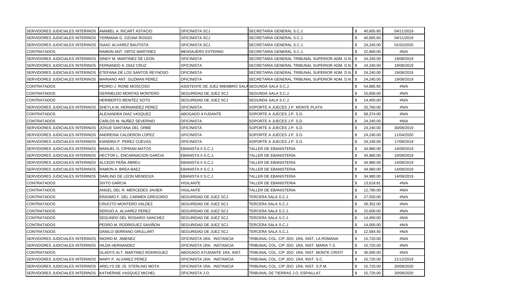| SERVIDORES JUDICIALES INTERINOS   AMABEL A. RICART ASTACIO |                                       | OFICINISTA SCJ                                     | SECRETARIA GENERAL S.C.J.                        | \$           | 40,605.60 | 04/11/2019 |
|------------------------------------------------------------|---------------------------------------|----------------------------------------------------|--------------------------------------------------|--------------|-----------|------------|
| SERVIDORES JUDICIALES INTERINOS                            | IYERMANA G. OZUNA ROSSO               | OFICINISTA SCJ                                     | SECRETARIA GENERAL S.C.J.                        | \$           | 40,605.60 | 04/11/2019 |
| SERVIDORES JUDICIALES INTERINOS                            | <b>ISAAC ALVAREZ BAUTISTA</b>         | OFICINISTA SCJ                                     | SECRETARIA GENERAL S.C.J.                        | \$           | 24,240.00 | 01/02/2020 |
| <b>CONTRATADOS</b>                                         | RAMON ANT. ORTIZ MARTINEZ             | MENSAJERO EXTERNO                                  | SECRETARIA GENERAL S.C.J.                        | \$.          | 22,800.00 | #N/A       |
| SERVIDORES JUDICIALES INTERINOS                            | <b>ISINDY M. MARTINEZ DE LEON</b>     | <b>OFICINISTA</b>                                  | SECRETARIA GENERAL TRIBUNAL SUPERIOR ADM. D.N.   | - \$         | 24,240.00 | 19/08/2019 |
| SERVIDORES JUDICIALES INTERINOS                            | FERNANDO A. DIAZ CRUZ                 | <b>OFICINISTA</b>                                  | SECRETARIA GENERAL TRIBUNAL SUPERIOR ADM. D.N. S |              | 24,240.00 | 19/08/2019 |
| SERVIDORES JUDICIALES INTERINOS                            | ETEFANA DE LOS SANTOS REYNOSO         | <b>OFICINISTA</b>                                  | SECRETARIA GENERAL TRIBUNAL SUPERIOR ADM. D.N. S |              | 24,240.00 | 19/08/2019 |
| <b>SERVIDORES JUDICIALES INTERINOS</b>                     | MARIANO ANT. GUZMAN PEREZ             | <b>OFICINISTA</b>                                  | SECRETARIA GENERAL TRIBUNAL SUPERIOR ADM. D.N.   | l \$         | 24,240.00 | 19/08/2019 |
| <b>CONTRATADOS</b>                                         | PEDRO J. RONE MOSCOSO                 | ASISTENTE DE JUEZ MIEMBRO SALA SEGUNDA SALA S.C.J. |                                                  | \$           | 54,885.60 | #N/A       |
| <b>CONTRATADOS</b>                                         | GERINELDO MONTAS MONTERO              | SEGURIDAD DE JUEZ SCJ                              | SEGUNDA SALA S.C.J.                              | \$           | 15,600.00 | #N/A       |
| <b>CONTRATADOS</b>                                         | <b>HERIBERTO BENITEZ SOTO</b>         | SEGURIDAD DE JUEZ SCJ                              | SEGUNDA SALA S.C.J.                              | \$           | 14,400.00 | #N/A       |
| <b>SERVIDORES JUDICIALES INTERINOS</b>                     | ISHEYLA M. HERNANDEZ PEREZ            | <b>OFICINISTA</b>                                  | SOPORTE A JUECES J.P. MONTE PLATA                | \$           | 20,760.00 | #N/A       |
| <b>CONTRATADOS</b>                                         | ALEXANDRA DIAZ VASQUEZ                | ABOGADO AYUDANTE                                   | SOPORTE A JUECES J.P. S.D.                       | \$           | 58,374.00 | #N/A       |
| <b>CONTRATADOS</b>                                         | CARLOS M. NUÑEZ SEVERINO              | <b>OFICINISTA</b>                                  | SOPORTE A JUECES J.P. S.D.                       | \$           | 24,240.00 | #N/A       |
| SERVIDORES JUDICIALES INTERINOS                            | JOSUE SANTANA DEL ORBE                | <b>OFICINISTA</b>                                  | SOPORTE A JUECES J.P. S.D.                       | \$           | 24,240.00 | 30/09/2019 |
| SERVIDORES JUDICIALES INTERINOS                            | ANDREINA CALDERON LOPEZ               | <b>OFICINISTA</b>                                  | SOPORTE A JUECES J.P. S.D.                       | $\mathbf{s}$ | 24,240.00 | 11/04/2020 |
| SERVIDORES JUDICIALES INTERINOS                            | KIANDRA P. PEREZ CUEVAS               | <b>OFICINISTA</b>                                  | SOPORTE A JUECES J.P. S.D.                       | \$           | 24,240.00 | 17/09/2019 |
| <b>SERVIDORES JUDICIALES INTERINOS</b>                     | MANUEL O. CIPRIAN MATOS               | EBANISTA II S.C.J.                                 | TALLER DE EBANISTERIA                            | \$           | 34,980.00 | 14/09/2019 |
| SERVIDORES JUDICIALES INTERINOS                            | <b>HECTOR L. ENCARNACION GARCIA</b>   | EBANISTA II S.C.J.                                 | TALLER DE EBANISTERIA                            | \$           | 34,980.00 | 10/09/2019 |
| SERVIDORES JUDICIALES INTERINOS                            | ALCEDO PEÑA ABREU                     | EBANISTA II S.C.J.                                 | TALLER DE EBANISTERIA                            | \$           | 34,980.00 | 14/09/2019 |
| SERVIDORES JUDICIALES INTERINOS                            | RAMON A. BREA BAEZ                    | EBANISTA II S.C.J.                                 | TALLER DE EBANISTERIA                            | \$           | 34,980.00 | 14/09/2019 |
| SERVIDORES JUDICIALES INTERINOS                            | <b>IDARLING DE LEON MENDOZA</b>       | EBANISTA II S.C.J.                                 | <b>TALLER DE EBANISTERIA</b>                     | \$           | 34,980.00 | 14/09/2019 |
| <b>CONTRATADOS</b>                                         | SIXTO GARCIA                          | VIGILANTE                                          | TALLER DE EBANISTERIA                            | \$           | 13,618.81 | #N/A       |
| <b>CONTRATADOS</b>                                         | ANGEL DEL R. MERCEDES JAVIER          | VIGILANTE                                          | TALLER DE EBANISTERIA                            | \$           | 12,780.00 | #N/A       |
| <b>CONTRATADOS</b>                                         | ERASMO F. DEL CARMEN GREGORIO         | SEGURIDAD DE JUEZ SCJ                              | TERCERA SALA S.C.J.                              | \$           | 27,550.00 | #N/A       |
| <b>CONTRATADOS</b>                                         | CRUCITO MONTERO VALDEZ                | SEGURIDAD DE JUEZ SCJ                              | TERCERA SALA S.C.J.                              | \$           | 26,352.00 | #N/A       |
| <b>CONTRATADOS</b>                                         | SERGIO A. ALVAREZ PEREZ               | SEGURIDAD DE JUEZ SCJ                              | TERCERA SALA S.C.J.                              | \$           | 15,600.00 | #N/A       |
| <b>CONTRATADOS</b>                                         | SEGUNDO DEL ROSARIO SANCHEZ           | SEGURIDAD DE JUEZ SCJ                              | TERCERA SALA S.C.J.                              | \$           | 14,400.00 | #N/A       |
| <b>CONTRATADOS</b>                                         | PEDRO M. RODRIGUEZ SAVIÑON            | SEGURIDAD DE JUEZ SCJ                              | TERCERA SALA S.C.J.                              | \$           | 14,000.00 | #N/A       |
| <b>CONTRATADOS</b>                                         | DANILO SERRANO GRULLART               | SEGURIDAD DE JUEZ SCJ                              | TERCERA SALA S.C.J.                              | \$           | 12,584.40 | #N/A       |
| <b>SERVIDORES JUDICIALES INTERINOS</b>                     | INGRID M. JIMENEZ                     | OFICINISTA 1RA. INSTANCIA                          | TRIBUNAL COL. C/P JDO. 1RA. INST. LA ROMANA      | \$.          | 15,720.00 | #N/A       |
| SERVIDORES JUDICIALES INTERINOS                            | HILDA HERNANDEZ                       | OFICINISTA 1RA. INSTANCIA                          | TRIBUNAL COL. C/P JDO. 1RA. INST. MARIA T.S.     | \$           | 15,720.00 | #N/A       |
| <b>CONTRATADOS</b>                                         | <b>GLADYS ALT. MARTINEZ RODRIGUEZ</b> | ABOGADO AYUDANTE 1RA. INST.                        | TRIBUNAL COL. C/P JDO. 1RA. INST. MONTE CRISTI   | \$           | 36,000.00 | #N/A       |
| SERVIDORES JUDICIALES INTERINOS                            | MARY P. ALVAREZ PEREZ                 | OFICINISTA 1RA. INSTANCIA                          | TRIBUNAL COL. C/P JDO. 1RA. INST. S.C.           | \$           | 15,720.00 | 21/12/2019 |
| SERVIDORES JUDICIALES INTERINOS                            | ARELYS DE JS. STERLING MOTA           | OFICINISTA 1RA. INSTANCIA                          | TRIBUNAL COL. C/P JDO. 1RA. INST. S.P.M.         | S            | 15,720.00 | 20/09/2020 |
| SERVIDORES JUDICIALES INTERINOS                            | KATHERINE VASQUEZ MICHEL              | OFICINISTA J.O.                                    | TRIBUNAL DE TIERRAS J.O. ESPAILLAT               | \$           | 15,720.00 | 20/09/2020 |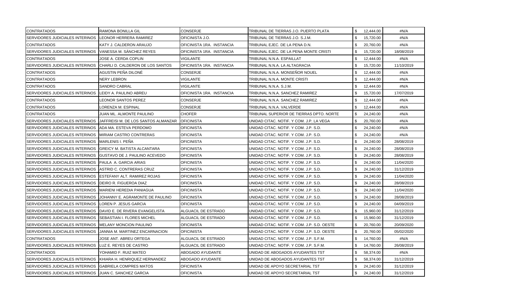| <b>CONTRATADOS</b>                     | RAMONA BONILLA GIL                   | <b>CONSERJE</b>           | TRIBUNAL DE TIERRAS J.O. PUERTO PLATA       | 12,444.00 | #N/A       |
|----------------------------------------|--------------------------------------|---------------------------|---------------------------------------------|-----------|------------|
| <b>SERVIDORES JUDICIALES INTERINOS</b> | <b>ILEONOR HERRERA RAMIREZ</b>       | OFICINISTA J.O.           | TRIBUNAL DE TIERRAS J.O. S.J.M.             | 15,720.00 | #N/A       |
| <b>CONTRATADOS</b>                     | KATY J. CALDERON ARAUJO              | OFICINISTA 1RA. INSTANCIA | TRIBUNAL EJEC. DE LA PENA D.N.              | 20,760.00 | #N/A       |
| <b>SERVIDORES JUDICIALES INTERINOS</b> | VANESSA M. SANCHEZ REYES             | OFICINISTA 1RA. INSTANCIA | TRIBUNAL EJEC. DE LA PENA MONTE CRISTI      | 15,720.00 | 18/08/2019 |
| <b>CONTRATADOS</b>                     | JOSE A. CERDA COPLIN                 | <b>VIGILANTE</b>          | TRIBUNAL N.N.A. ESPAILLAT                   | 12,444.00 | #N/A       |
| SERVIDORES JUDICIALES INTERINOS        | CHARLI D. CALDERON DE LOS SANTOS     | OFICINISTA 1RA. INSTANCIA | TRIBUNAL N.N.A. LA ALTAGRACIA               | 15,720.00 | 11/10/2019 |
| <b>CONTRATADOS</b>                     | AGUSTIN PEÑA DILONÉ                  | <b>CONSERJE</b>           | TRIBUNAL N.N.A. MONSEÑOR NOUEL              | 12,444.00 | #N/A       |
| <b>CONTRATADOS</b>                     | NERY LEBRON                          | VIGILANTE                 | TRIBUNAL N.N.A. MONTE CRISTI                | 12,444.00 | #N/A       |
| <b>CONTRATADOS</b>                     | SANDRO CABRAL                        | VIGILANTE                 | TRIBUNAL N.N.A. S.J.M.                      | 12,444.00 | #N/A       |
| <b>SERVIDORES JUDICIALES INTERINOS</b> | LEIDY A. PAULINO ABREU               | OFICINISTA 1RA. INSTANCIA | TRIBUNAL N.N.A. SANCHEZ RAMIREZ             | 15,720.00 | 17/07/2019 |
| <b>CONTRATADOS</b>                     | <b>LEONOR SANTOS PEREZ</b>           | CONSERJE                  | TRIBUNAL N.N.A. SANCHEZ RAMIREZ             | 12,444.00 | #N/A       |
| <b>CONTRATADOS</b>                     | LORENZA M. ESPINAL                   | CONSERJE                  | TRIBUNAL N.N.A. VALVERDE                    | 12,444.00 | #N/A       |
| <b>CONTRATADOS</b>                     | JUAN ML. ALMONTE PAULINO             | <b>CHOFER</b>             | TRIBUNAL SUPERIOR DE TIERRAS DPTO. NORTE    | 24,240.00 | #N/A       |
| SERVIDORES JUDICIALES INTERINOS        | JAFFREISI M. DE LOS SANTOS ALMANZAR  | <b>OFICINISTA</b>         | UNIDAD CITAC. NOTIF. Y COM. J.P. LA VEGA    | 20,760.00 | #N/A       |
| <b>SERVIDORES JUDICIALES INTERINOS</b> | ADA MA. ESTEVA PERDOMO               | <b>OFICINISTA</b>         | UNIDAD CITAC. NOTIF. Y COM. J.P. S.D.       | 24,240.00 | #N/A       |
| SERVIDORES JUDICIALES INTERINOS        | MIRIAM CASTRO CONTRERAS              | <b>OFICINISTA</b>         | UNIDAD CITAC. NOTIF. Y COM. J.P. S.D.       | 24,240.00 | #N/A       |
| <b>SERVIDORES JUDICIALES INTERINOS</b> | MARLENIS I. PEÑA                     | <b>OFICINISTA</b>         | UNIDAD CITAC. NOTIF. Y COM. J.P. S.D.       | 24,240.00 | 28/08/2019 |
| SERVIDORES JUDICIALES INTERINOS        | <b>GREICY M. BATISTA ALCANTARA</b>   | <b>OFICINISTA</b>         | UNIDAD CITAC, NOTIF, Y COM, J.P. S.D.       | 24,240.00 | 28/08/2019 |
| SERVIDORES JUDICIALES INTERINOS        | <b>GUSTAVO DE J. PAULINO ACEVEDO</b> | <b>OFICINISTA</b>         | UNIDAD CITAC. NOTIF. Y COM. J.P. S.D.       | 24,240.00 | 28/08/2019 |
| SERVIDORES JUDICIALES INTERINOS        | PAULA A. GARCIA ARIAS                | <b>OFICINISTA</b>         | UNIDAD CITAC. NOTIF. Y COM. J.P. S.D.       | 24,240.00 | 11/04/2020 |
| SERVIDORES JUDICIALES INTERINOS        | ASTRID C. CONTRERAS CRUZ             | <b>OFICINISTA</b>         | UNIDAD CITAC, NOTIF, Y COM, J.P. S.D.       | 24,240.00 | 31/12/2019 |
| SERVIDORES JUDICIALES INTERINOS        | <b>ESTEFANY ALT. RAMIREZ ROJAS</b>   | <b>OFICINISTA</b>         | UNIDAD CITAC. NOTIF. Y COM. J.P. S.D.       | 24,240.00 | 11/04/2020 |
| SERVIDORES JUDICIALES INTERINOS        | DEIRO R. FIGUEROA DIAZ               | <b>OFICINISTA</b>         | UNIDAD CITAC. NOTIF. Y COM. J.P. S.D.       | 24,240.00 | 28/08/2019 |
| SERVIDORES JUDICIALES INTERINOS        | MARIENI HEREDIA PANIAGUA             | <b>OFICINISTA</b>         | UNIDAD CITAC. NOTIF. Y COM. J.P. S.D.       | 24,240.00 | 11/04/2020 |
| SERVIDORES JUDICIALES INTERINOS        | JOHANNY E. AGRAMONTE DE PAULINO      | <b>OFICINISTA</b>         | UNIDAD CITAC. NOTIF. Y COM. J.P. S.D.       | 24,240.00 | 28/08/2019 |
| SERVIDORES JUDICIALES INTERINOS        | LOREN P. JESUS GARCIA                | <b>OFICINISTA</b>         | UNIDAD CITAC. NOTIF. Y COM. J.P. S.D.       | 24,240.00 | 04/09/2019 |
| SERVIDORES JUDICIALES INTERINOS        | DAVID E. DE RIVERA EVANGELISTA       | ALGUACIL DE ESTRADO       | UNIDAD CITAC. NOTIF. Y COM. J.P. S.D.       | 15,960.00 | 31/12/2019 |
| SERVIDORES JUDICIALES INTERINOS        | <b>SEBASTIAN I. FLORES MICHEL</b>    | ALGUACIL DE ESTRADO       | UNIDAD CITAC. NOTIF. Y COM. J.P. S.D.       | 15,960.00 | 31/12/2019 |
| <b>SERVIDORES JUDICIALES INTERINOS</b> | <b>MELANY MONCION PAULINO</b>        | <b>OFICINISTA</b>         | UNIDAD CITAC. NOTIF. Y COM. J.P. S.D. OESTE | 20,760.00 | 20/09/2020 |
| SERVIDORES JUDICIALES INTERINOS        | JANNIA M. MARTINEZ ENCARNACION       | <b>OFICINISTA</b>         | UNIDAD CITAC, NOTIF, Y COM, J.P. S.D. OESTE | 20,760.00 | 05/02/2020 |
| <b>CONTRATADOS</b>                     | JOSE ANT. ABREU ORTEGA               | ALGUACIL DE ESTRADO       | UNIDAD CITAC. NOTIF. Y COM. J.P. S.F.M.     | 14,760.00 | #N/A       |
| SERVIDORES JUDICIALES INTERINOS        | LUZ E. REYES DE CASTRO               | ALGUACIL DE ESTRADO       | UNIDAD CITAC. NOTIF. Y COM. J.P. S.F.M.     | 14,760.00 | 26/08/2019 |
| <b>CONTRATADOS</b>                     | YOHAMID F. RUIZ MATEO                | ABOGADO AYUDANTE          | UNIDAD DE ABOGADOS AYUDANTES TST            | 58,374.00 | #N/A       |
| <b>SERVIDORES JUDICIALES INTERINOS</b> | KHIARA H. HENRIQUEZ HERNANDEZ        | ABOGADO AYUDANTE          | UNIDAD DE ABOGADOS AYUDANTES TST            | 58,374.00 | 31/12/2019 |
| SERVIDORES JUDICIALES INTERINOS        | <b>GABRIELA COMPRES MATOS</b>        | <b>OFICINISTA</b>         | UNIDAD DE APOYO SECRETARIAL TST             | 24,240.00 | 31/12/2019 |
| SERVIDORES JUDICIALES INTERINOS        | JUAN C. SANCHEZ GARCIA               | <b>OFICINISTA</b>         | UNIDAD DE APOYO SECRETARIAL TST             | 24,240.00 | 31/12/2019 |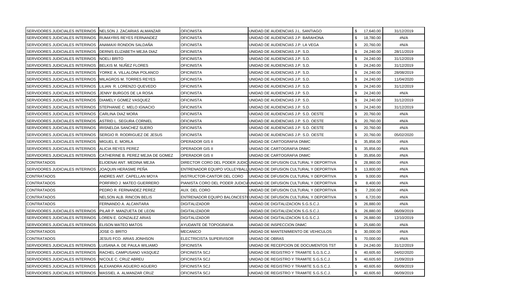| SERVIDORES JUDICIALES INTERINOS   NELSON J. ZACARIAS ALMANZAR |                                   | <b>OFICINISTA</b>          | UNIDAD DE AUDIENCIAS J.L. SANTIAGO                                     | \$17,640.00 |           | 31/12/2019 |
|---------------------------------------------------------------|-----------------------------------|----------------------------|------------------------------------------------------------------------|-------------|-----------|------------|
| SERVIDORES JUDICIALES INTERINOS                               | <b>IRUMAYRIS REYES FERNANDEZ</b>  | OFICINISTA                 | UNIDAD DE AUDIENCIAS J.P. BARAHONA                                     | \$          | 18,780.00 | #N/A       |
| SERVIDORES JUDICIALES INTERINOS                               | ANAMAXI RONDON SALDAÑA            | <b>OFICINISTA</b>          | UNIDAD DE AUDIENCIAS J.P. LA VEGA                                      | \$          | 20,760.00 | #N/A       |
| SERVIDORES JUDICIALES INTERINOS                               | DERNIS ELIZABETH MEJIA DIAZ       | OFICINISTA                 | UNIDAD DE AUDIENCIAS J.P. S.D.                                         | \$.         | 24,240.00 | 28/11/2019 |
| SERVIDORES JUDICIALES INTERINOS                               | NOELI BRITO                       | <b>OFICINISTA</b>          | UNIDAD DE AUDIENCIAS J.P. S.D.                                         | \$          | 24,240.00 | 31/12/2019 |
| SERVIDORES JUDICIALES INTERINOS                               | BELKIS M. NUÑEZ FLORES            | <b>OFICINISTA</b>          | UNIDAD DE AUDIENCIAS J.P. S.D.                                         | \$          | 24,240.00 | 31/12/2019 |
| SERVIDORES JUDICIALES INTERINOS                               | YORKE A. VILLALONA POLANCO        | OFICINISTA                 | UNIDAD DE AUDIENCIAS J.P. S.D.                                         | \$          | 24,240.00 | 28/08/2019 |
| SERVIDORES JUDICIALES INTERINOS                               | <b>MILAGROS M. TORRES REYES</b>   | <b>OFICINISTA</b>          | UNIDAD DE AUDIENCIAS J.P. S.D.                                         | \$          | 24,240.00 | 11/04/2020 |
| SERVIDORES JUDICIALES INTERINOS                               | ILILIAN R. LORENZO QUEVEDO        | <b>OFICINISTA</b>          | UNIDAD DE AUDIENCIAS J.P. S.D.                                         | \$          | 24,240.00 | 31/12/2019 |
| SERVIDORES JUDICIALES INTERINOS                               | JENNY BURGOS DE LA ROSA           | OFICINISTA                 | UNIDAD DE AUDIENCIAS J.P. S.D.                                         | \$          | 24,240.00 | #N/A       |
| SERVIDORES JUDICIALES INTERINOS                               | DIAMELY GOMEZ VASQUEZ             | <b>OFICINISTA</b>          | UNIDAD DE AUDIENCIAS J.P. S.D.                                         | \$          | 24,240.00 | 31/12/2019 |
| SERVIDORES JUDICIALES INTERINOS                               | STEPHANIE C. MELO IGNACIO         | OFICINISTA                 | UNIDAD DE AUDIENCIAS J.P. S.D.                                         | \$          | 24,240.00 | 31/12/2019 |
| SERVIDORES JUDICIALES INTERINOS                               | CARLINA DIAZ MORA                 | <b>OFICINISTA</b>          | UNIDAD DE AUDIENCIAS J.P. S.D. OESTE                                   | \$          | 20,760.00 | #N/A       |
| SERVIDORES JUDICIALES INTERINOS                               | ASTRID L. SEGURA CORNIEL          | OFICINISTA                 | UNIDAD DE AUDIENCIAS J.P. S.D. OESTE                                   | \$          | 20,760.00 | #N/A       |
| SERVIDORES JUDICIALES INTERINOS                               | IRISNELDA SANCHEZ SUERO           | <b>OFICINISTA</b>          | UNIDAD DE AUDIENCIAS J.P. S.D. OESTE                                   | \$          | 20,760.00 | #N/A       |
| SERVIDORES JUDICIALES INTERINOS                               | SERGIO R. RODRIGUEZ DE JESUS      | OFICINISTA                 | UNIDAD DE AUDIENCIAS J.P. S.D. OESTE                                   | \$          | 20,760.00 | 05/02/2020 |
| SERVIDORES JUDICIALES INTERINOS                               | <b>MIGUEL E. MORLA</b>            | OPERADOR GIS II            | UNIDAD DE CARTOGRAFIA DNMC                                             | \$          | 35,856.00 | #N/A       |
| SERVIDORES JUDICIALES INTERINOS                               | ALICIA REYES PEREZ                | OPERADOR GIS II            | UNIDAD DE CARTOGRAFIA DNMC                                             | \$          | 35,856.00 | #N/A       |
| SERVIDORES JUDICIALES INTERINOS                               | CATHERINE B. PEREZ MEJIA DE GOMEZ | <b>OPERADOR GIS II</b>     | UNIDAD DE CARTOGRAFIA DNMC                                             | \$          | 35,856.00 | #N/A       |
| <b>CONTRATADOS</b>                                            | ELIOENAI ANT. MEDINA MEJIA        |                            | DIRECTOR CORO DEL PODER JUDIC UNIDAD DE DIFUSION CULTURAL Y DEPORTIVA  | \$          | 28,860.00 | #N/A       |
| SERVIDORES JUDICIALES INTERINOS                               | JOAQUIN HERASME PEÑA              |                            | ENTRENADOR EQUIPO VOLLEYBALL UNIDAD DE DIFUSION CULTURAL Y DEPORTIVA   | \$          | 13,800.00 | #N/A       |
| <b>CONTRATADOS</b>                                            | ANDRES ANT. CAPELLAN MOYA         | INSTRUCTOR-CANTOR DEL CORO | <b>JUNIDAD DE DIFUSION CULTURAL Y DEPORTIVA</b>                        | \$          | 9,000.00  | #N/A       |
| <b>CONTRATADOS</b>                                            | PORFIRIO J. MATEO GUERRERO        |                            | PIANISTA CORO DEL PODER JUDICIAUNIDAD DE DIFUSION CULTURAL Y DEPORTIVA | \$          | 8,400.00  | #N/A       |
| <b>CONTRATADOS</b>                                            | PEDRO R. FERNANDEZ PEREZ          | AUX. DEL CORO              | UNIDAD DE DIFUSION CULTURAL Y DEPORTIVA                                | \$          | 7,200.00  | #N/A       |
| <b>CONTRATADOS</b>                                            | NELSON ALB. RINCON BELIS          |                            | ENTRENADOR EQUIPO BALONCEST(UNIDAD DE DIFUSION CULTURAL Y DEPORTIVA    | \$          | 6,720.00  | #N/A       |
| <b>CONTRATADOS</b>                                            | FERNANDO A. ALCANTARA             | <b>DIGITALIZADOR</b>       | UNIDAD DE DIGITALIZACION S.G.S.C.J.                                    | \$          | 26,880.00 | #N/A       |
| SERVIDORES JUDICIALES INTERINOS                               | PILAR P. MANZUETA DE LEON         | <b>DIGITALIZADOR</b>       | UNIDAD DE DIGITALIZACION S.G.S.C.J.                                    | \$          | 26,880.00 | 06/09/2019 |
| SERVIDORES JUDICIALES INTERINOS                               | LOREN E. GONZALEZ ARIAS           | <b>DIGITALIZADOR</b>       | UNIDAD DE DIGITALIZACION S.G.S.C.J.                                    | \$          | 26,880.00 | 12/10/2019 |
| SERVIDORES JUDICIALES INTERINOS                               | <b>I</b> ELISON MATEO MATOS       | AYUDANTE DE TOPOGRAFIA     | UNIDAD DE INSPECCION DNMC                                              | \$          | 25,680.00 | #N/A       |
| <b>CONTRATADOS</b>                                            | JOSE O. BRITO                     | MECANICO                   | UNIDAD DE MANTENIMIENTO DE VEHICULOS                                   | \$          | 30,000.00 | #N/A       |
| <b>CONTRATADOS</b>                                            | JESUS FCO. ARIAS JONHSON          | ELECTRICISTA SUPERVISOR    | UNIDAD DE OBRAS                                                        | -\$         | 70,000.00 | #N/A       |
| SERVIDORES JUDICIALES INTERINOS                               | LUISANA A. DE PAULA WILIAMO       | OFICINISTA                 | UNIDAD DE RECEPCION DE DOCUMENTOS TST                                  | \$          | 24,240.00 | 31/12/2019 |
| SERVIDORES JUDICIALES INTERINOS                               | RACHEL CAMPUSANO VASQUEZ          | OFICINISTA SCJ             | UNIDAD DE REGISTRO Y TRAMITE S.G.S.C.J.                                | \$          | 40,605.60 | 04/02/2020 |
| SERVIDORES JUDICIALES INTERINOS                               | NICOLE C. CRUZ ABREU              | OFICINISTA SCJ             | UNIDAD DE REGISTRO Y TRAMITE S.G.S.C.J.                                | \$          | 40,605.60 | 21/09/2019 |
| SERVIDORES JUDICIALES INTERINOS                               | ALEXANDRA AGUERO AGUERO           | OFICINISTA SCJ             | UNIDAD DE REGISTRO Y TRAMITE S.G.S.C.J.                                | \$          | 40,605.60 | 06/09/2019 |
| SERVIDORES JUDICIALES INTERINOS MASSIEL A. ALMANZAR CRUZ      |                                   | OFICINISTA SCJ             | UNIDAD DE REGISTRO Y TRAMITE S.G.S.C.J.                                | \$          | 40,605.60 | 06/09/2019 |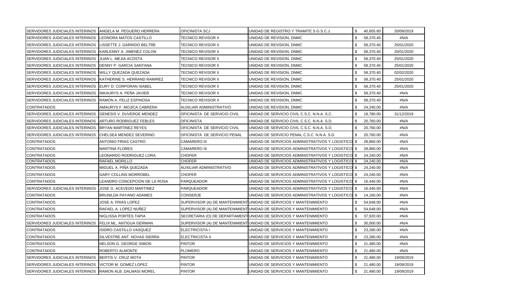| SERVIDORES JUDICIALES INTERINOS   ANGELA M. PEGUERO HERRERA |                                   | OFICINISTA SCJ               | UNIDAD DE REGISTRO Y TRAMITE S.G.S.C.J.                            | \$.          | 40,605.60 | 20/09/2019 |
|-------------------------------------------------------------|-----------------------------------|------------------------------|--------------------------------------------------------------------|--------------|-----------|------------|
| SERVIDORES JUDICIALES INTERINOS                             | LEONORA MATOS CASTILLO            | TECNICO REVISOR II           | UNIDAD DE REVISION, DNMC                                           | \$           | 58,370.40 | #N/A       |
| SERVIDORES JUDICIALES INTERINOS                             | LISSETTE J. GARRIDO BELTRE        | TECNICO REVISOR II           | UNIDAD DE REVISION, DNMC                                           | \$           | 58,370.40 | 25/01/2020 |
| SERVIDORES JUDICIALES INTERINOS                             | KARLENNY A. JIMENEZ COLON         | TECNICO REVISOR II           | UNIDAD DE REVISION, DNMC                                           | $\mathbf{f}$ | 58,370.40 | 25/01/2020 |
| SERVIDORES JUDICIALES INTERINOS                             | JUAN L. MEJIA ACOSTA              | TECNICO REVISOR II           | UNIDAD DE REVISION, DNMC                                           | \$           | 58,370.40 | 25/01/2020 |
| SERVIDORES JUDICIALES INTERINOS                             | DENNY P. GARCIA SANTANA           | TECNICO REVISOR II           | UNIDAD DE REVISION, DNMC                                           | \$           | 58,370.40 | 25/01/2020 |
| SERVIDORES JUDICIALES INTERINOS                             | WILLY QUEZADA QUEZADA             | <b>TECNICO REVISOR II</b>    | UNIDAD DE REVISION, DNMC                                           | \$           | 58,370.40 | 02/02/2020 |
| SERVIDORES JUDICIALES INTERINOS                             | KATHERINE S. HERRAND RAMIREZ      | TECNICO REVISOR II           | UNIDAD DE REVISION, DNMC                                           | \$           | 58,370.40 | 25/01/2020 |
| SERVIDORES JUDICIALES INTERINOS                             | EURY D. CORPORAN ISABEL           | TECNICO REVISOR II           | UNIDAD DE REVISION, DNMC                                           | \$           | 58,370.40 | 25/01/2020 |
| SERVIDORES JUDICIALES INTERINOS                             | NIKAURYS A. PEÑA JAVIER           | TECNICO REVISOR II           | UNIDAD DE REVISION, DNMC                                           | \$           | 58,370.40 | #N/A       |
| SERVIDORES JUDICIALES INTERINOS                             | RAMON A. FELIZ ESPINOSA           | TECNICO REVISOR II           | UNIDAD DE REVISION, DNMC                                           | \$           | 58,370.40 | #N/A       |
| <b>CONTRATADOS</b>                                          | AMAURYS F. MOJICA CABRERA         | AUXILIAR ADMINISTRATIVO      | UNIDAD DE REVISION, DNMC                                           | \$           | 24,240.00 | #N/A       |
| SERVIDORES JUDICIALES INTERINOS                             | <b>IGENESIS V. DUVERGE MENDEZ</b> | OFICINISTA DE SERVICIO CIVIL | UNIDAD DE SERVICIO CIVIL C.S.C. N.N.A. S.C.                        | \$           | 18,780.00 | 31/12/2019 |
| SERVIDORES JUDICIALES INTERINOS                             | <b>ARTURO RODRIGUEZ FEBLES</b>    | <b>OFICINISTA</b>            | UNIDAD DE SERVICIO CIVIL C.S.C. N.N.A. S.D.                        | \$           | 20,760.00 | #N/A       |
| <b>SERVIDORES JUDICIALES INTERINOS</b>                      | <b>BRYAN MARTINEZ REYES</b>       | OFICINISTA DE SERVICIO CIVIL | UNIDAD DE SERVICIO CIVIL C.S.C. N.N.A. S.D.                        | \$           | 20,760.00 | #N/A       |
| <b>SERVIDORES JUDICIALES INTERINOS</b>                      | CHELSEA MENDEZ SEVERINO           | OFICINISTA DE SERVICIO PENAL | UNIDAD DE SERVICIO PENAL C.S.C. N.N.A. S.D.                        | -S           | 20,760.00 | #N/A       |
| <b>CONTRATADOS</b>                                          | ANTONIO FRIAS CASTRO              | <b>CAMARERO III</b>          | UNIDAD DE SERVICIOS ADMINISTRATIVOS Y LOGISTICO \$                 |              | 28,860.00 | #N/A       |
| <b>CONTRATADOS</b>                                          | <b>MARTINA FLORES</b>             | <b>CAMARERO III</b>          | UNIDAD DE SERVICIOS ADMINISTRATIVOS Y LOGISTICO \$                 |              | 28,860.00 | #N/A       |
| <b>CONTRATADOS</b>                                          | LEONARDO RODRIGUEZ LORA           | <b>CHOFER</b>                | UNIDAD DE SERVICIOS ADMINISTRATIVOS Y LOGISTICO \$                 |              | 24,240.00 | #N/A       |
| <b>CONTRATADOS</b>                                          | RAFAEL MORILLO                    | <b>CHOFER</b>                | UNIDAD DE SERVICIOS ADMINISTRATIVOS Y LOGISTICO \$                 |              | 24,240.00 | #N/A       |
| <b>CONTRATADOS</b>                                          | MIGUEL A. PIÑA QUEZADA            | AUXILIAR ADMINISTRATIVO      | UNIDAD DE SERVICIOS ADMINISTRATIVOS Y LOGISTICO \$                 |              | 24,240.00 | #N/A       |
| <b>CONTRATADOS</b>                                          | GARY COLLINS MORROBEL             | <b>CHOFER</b>                | UNIDAD DE SERVICIOS ADMINISTRATIVOS Y LOGISTICO \$                 |              | 24,240.00 | #N/A       |
| <b>CONTRATADOS</b>                                          | LEANDRO CONCEPCION DE LA ROSA     | PARQUEADOR                   | UNIDAD DE SERVICIOS ADMINISTRATIVOS Y LOGISTICO \$                 |              | 16,440.00 | #N/A       |
| SERVIDORES JUDICIALES INTERINOS                             | JOSE G. ACEVEDO MARTINEZ          | PARQUEADOR                   | UNIDAD DE SERVICIOS ADMINISTRATIVOS Y LOGISTICO \$                 |              | 16,440.00 | #N/A       |
| <b>CONTRATADOS</b>                                          | BRUNILDA PAYANO ADAMES            | CONSERJE                     | UNIDAD DE SERVICIOS ADMINISTRATIVOS Y LOGISTICO \$                 |              | 14,160.00 | #N/A       |
| <b>CONTRATADOS</b>                                          | JOSE A. FRIAS LOPEZ               |                              | SUPERVISOR (A) DE MANTENIMIENT UNIDAD DE SERVICIOS Y MANTENIMIENTO | \$           | 54,648.00 | #N/A       |
| <b>CONTRATADOS</b>                                          | RAFAEL A. LOPEZ NUÑEZ             |                              | SUPERVISOR (A) DE MANTENIMIENT UNIDAD DE SERVICIOS Y MANTENIMIENTO | \$           | 54,648.00 | #N/A       |
| <b>CONTRATADOS</b>                                          | NIGLISSA PORTES TAPIA             |                              | SECRETARIA (O) DE DEPARTAMENT UNIDAD DE SERVICIOS Y MANTENIMIENTO  | \$           | 37,920.00 | #N/A       |
| SERVIDORES JUDICIALES INTERINOS                             | FELIX ML. ANTIGUA GERMAN          |                              | SUPERVISOR (A) DE MANTENIMIENT UNIDAD DE SERVICIOS Y MANTENIMIENTO | \$           | 30,000.00 | #N/A       |
| <b>CONTRATADOS</b>                                          | ISIDRO CASTILLO VASQUEZ           | ELECTRICISTA I               | UNIDAD DE SERVICIOS Y MANTENIMIENTO                                | \$           | 23,280.00 | #N/A       |
| <b>CONTRATADOS</b>                                          | SILVESTRE ANT. NOVAS SIERRA       | ELECTRICISTA II              | UNIDAD DE SERVICIOS Y MANTENIMIENTO                                | \$           | 23,280.00 | #N/A       |
| <b>CONTRATADOS</b>                                          | NELSON G. GEORGE SIMON            | <b>PINTOR</b>                | UNIDAD DE SERVICIOS Y MANTENIMIENTO                                | -S           | 21,480.00 | #N/A       |
| <b>CONTRATADOS</b>                                          | ROBERTO ALMONTE                   | <b>PLOMERO</b>               | UNIDAD DE SERVICIOS Y MANTENIMIENTO                                | \$           | 21,480.00 | #N/A       |
| SERVIDORES JUDICIALES INTERINOS                             | BERTIS V. CRUZ MOTA               | <b>PINTOR</b>                | UNIDAD DE SERVICIOS Y MANTENIMIENTO                                | \$           | 21,480.00 | 19/09/2019 |
| <b>SERVIDORES JUDICIALES INTERINOS</b>                      | <b>VICTOR M. GOMEZ LOPEZ</b>      | <b>PINTOR</b>                | UNIDAD DE SERVICIOS Y MANTENIMIENTO                                | \$           | 21,480.00 | 19/09/2019 |
| SERVIDORES JUDICIALES INTERINOS RAMON ALB. DALMASI MOREL    |                                   | <b>PINTOR</b>                | UNIDAD DE SERVICIOS Y MANTENIMIENTO                                | \$           | 21,480.00 | 19/09/2019 |